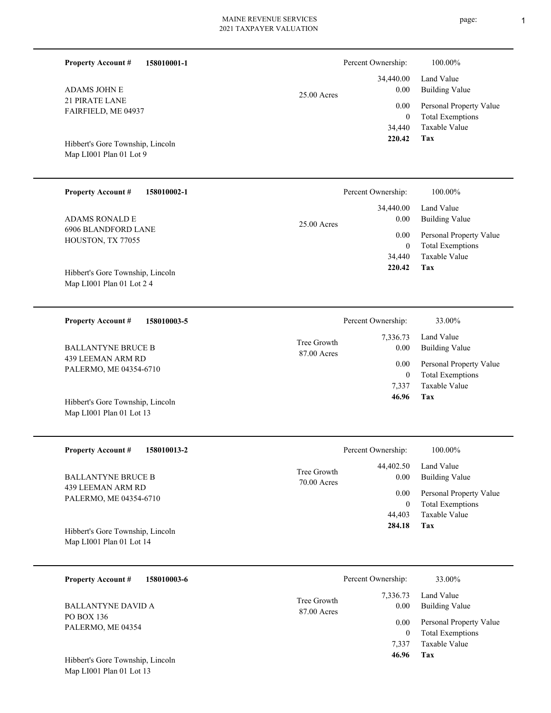| 158010001-1<br><b>Property Account #</b>                      |                            | Percent Ownership:                | 100.00%                                                                    |
|---------------------------------------------------------------|----------------------------|-----------------------------------|----------------------------------------------------------------------------|
| <b>ADAMS JOHN E</b>                                           | $25.00$ Acres              | 34,440.00<br>0.00                 | Land Value<br><b>Building Value</b>                                        |
| <b>21 PIRATE LANE</b><br>FAIRFIELD, ME 04937                  |                            | 0.00<br>$\mathbf{0}$<br>34,440    | Personal Property Value<br><b>Total Exemptions</b><br>Taxable Value        |
| Hibbert's Gore Township, Lincoln<br>Map LI001 Plan 01 Lot 9   |                            | 220.42                            | Tax                                                                        |
| <b>Property Account #</b><br>158010002-1                      |                            | Percent Ownership:                | 100.00%                                                                    |
| <b>ADAMS RONALD E</b>                                         | $25.00$ Acres              | 34,440.00<br>0.00                 | Land Value<br><b>Building Value</b>                                        |
| <b>6906 BLANDFORD LANE</b><br>HOUSTON, TX 77055               |                            | 0.00<br>$\mathbf{0}$<br>34,440    | Personal Property Value<br><b>Total Exemptions</b><br><b>Taxable Value</b> |
| Hibbert's Gore Township, Lincoln<br>Map LI001 Plan 01 Lot 2 4 |                            | 220.42                            | Tax                                                                        |
| <b>Property Account #</b><br>158010003-5                      |                            | Percent Ownership:                | 33.00%                                                                     |
| <b>BALLANTYNE BRUCE B</b>                                     | Tree Growth<br>87.00 Acres | 7,336.73<br>0.00                  | Land Value<br><b>Building Value</b>                                        |
| 439 LEEMAN ARM RD<br>PALERMO, ME 04354-6710                   |                            | 0.00<br>$\boldsymbol{0}$<br>7,337 | Personal Property Value<br><b>Total Exemptions</b><br><b>Taxable Value</b> |
| Hibbert's Gore Township, Lincoln<br>Map LI001 Plan 01 Lot 13  |                            | 46.96                             | Tax                                                                        |
| <b>Property Account #</b><br>158010013-2                      |                            | Percent Ownership:                | 100.00%                                                                    |
| <b>BALLANTYNE BRUCE B</b>                                     | Tree Growth<br>70.00 Acres | 44,402.50<br>0.00                 | Land Value<br><b>Building Value</b>                                        |
| 439 LEEMAN ARM RD<br>PALERMO, ME 04354-6710                   |                            | 0.00<br>$\mathbf{0}$<br>44,403    | Personal Property Value<br><b>Total Exemptions</b><br>Taxable Value        |
| Hibbert's Gore Township, Lincoln                              |                            | 284.18                            | Tax                                                                        |

Map LI001 Plan 01 Lot 14

| 158010003-6<br><b>Property Account #</b> |                            | Percent Ownership: | 33.00%                                             |
|------------------------------------------|----------------------------|--------------------|----------------------------------------------------|
| <b>BALLANTYNE DAVID A</b>                | Tree Growth<br>87.00 Acres | 7,336.73<br>0.00   | Land Value<br><b>Building Value</b>                |
| PO BOX 136<br>PALERMO, ME 04354          |                            | 0.00               | Personal Property Value<br><b>Total Exemptions</b> |
| Hibbert's Gore Township, Lincoln         |                            | 7.337<br>46.96     | Taxable Value<br>Tax                               |

Map LI001 Plan 01 Lot 13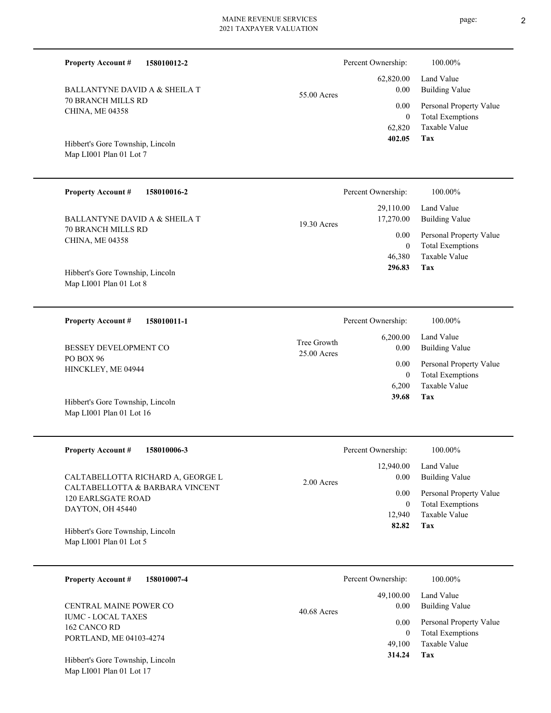| <b>Property Account #</b><br>158010012-2                                        |                            | Percent Ownership:       | 100.00%                                            |
|---------------------------------------------------------------------------------|----------------------------|--------------------------|----------------------------------------------------|
| BALLANTYNE DAVID A & SHEILA T                                                   | 55.00 Acres                | 62,820.00<br>0.00        | Land Value<br><b>Building Value</b>                |
| <b>70 BRANCH MILLS RD</b><br>CHINA, ME 04358                                    |                            | 0.00<br>$\overline{0}$   | Personal Property Value<br><b>Total Exemptions</b> |
| Hibbert's Gore Township, Lincoln<br>Map LI001 Plan 01 Lot 7                     |                            | 62,820<br>402.05         | Taxable Value<br><b>Tax</b>                        |
| <b>Property Account #</b><br>158010016-2                                        |                            | Percent Ownership:       | 100.00%                                            |
| BALLANTYNE DAVID A & SHEILA T                                                   | 19.30 Acres                | 29,110.00<br>17,270.00   | Land Value<br><b>Building Value</b>                |
| 70 BRANCH MILLS RD<br>CHINA, ME 04358                                           |                            | 0.00<br>$\mathbf{0}$     | Personal Property Value<br><b>Total Exemptions</b> |
| Hibbert's Gore Township, Lincoln<br>Map LI001 Plan 01 Lot 8                     |                            | 46,380<br>296.83         | Taxable Value<br>Tax                               |
| <b>Property Account #</b><br>158010011-1                                        |                            | Percent Ownership:       | 100.00%                                            |
| BESSEY DEVELOPMENT CO                                                           | Tree Growth<br>25.00 Acres | 6,200.00<br>0.00         | Land Value<br><b>Building Value</b>                |
| PO BOX 96<br>HINCKLEY, ME 04944                                                 |                            | 0.00<br>$\overline{0}$   | Personal Property Value<br><b>Total Exemptions</b> |
| Hibbert's Gore Township, Lincoln<br>Map LI001 Plan 01 Lot 16                    |                            | 6,200<br>39.68           | Taxable Value<br>Tax                               |
| <b>Property Account #</b><br>158010006-3                                        |                            | Percent Ownership:       | 100.00%                                            |
| CALTABELLOTTA RICHARD A, GEORGE L                                               | 2.00 Acres                 | 12,940.00<br>0.00        | Land Value<br><b>Building Value</b>                |
| CALTABELLOTTA & BARBARA VINCENT<br><b>120 EARLSGATE ROAD</b>                    |                            | 0.00<br>$\boldsymbol{0}$ | Personal Property Value<br><b>Total Exemptions</b> |
| DAYTON, OH 45440<br>Hibbert's Gore Township, Lincoln<br>Map LI001 Plan 01 Lot 5 |                            | 12,940<br>82.82          | Taxable Value<br>Tax                               |
|                                                                                 |                            |                          |                                                    |
| <b>Property Account #</b><br>158010007-4                                        |                            | Percent Ownership:       | 100.00%                                            |
| CENTRAL MAINE POWER CO                                                          | 40.68 Acres                | 49,100.00<br>0.00        | Land Value<br><b>Building Value</b>                |
| <b>IUMC - LOCAL TAXES</b><br>162 CANCO RD                                       |                            | 0.00<br>$\boldsymbol{0}$ | Personal Property Value<br><b>Total Exemptions</b> |
| PORTLAND, ME 04103-4274                                                         |                            | 49,100<br>314.24         | Taxable Value<br>Tax                               |

Map LI001 Plan 01 Lot 17 Hibbert's Gore Township, Lincoln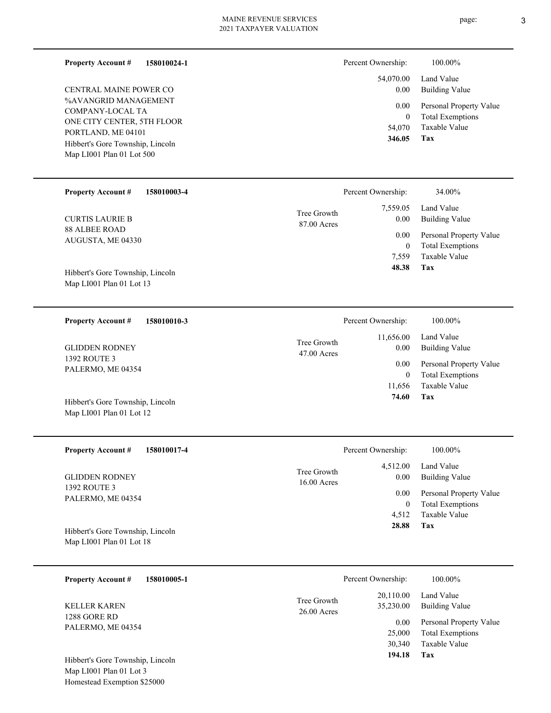| <b>Property Account #</b><br>158010024-1         | Percent Ownership:                                   | 100.00%                                            |
|--------------------------------------------------|------------------------------------------------------|----------------------------------------------------|
| CENTRAL MAINE POWER CO                           | 54,070.00<br>0.00                                    | Land Value<br><b>Building Value</b>                |
| %AVANGRID MANAGEMENT<br>COMPANY-LOCAL TA         | 0.00<br>$\boldsymbol{0}$                             | Personal Property Value<br><b>Total Exemptions</b> |
| ONE CITY CENTER, 5TH FLOOR<br>PORTLAND, ME 04101 | 54,070                                               | Taxable Value                                      |
| Hibbert's Gore Township, Lincoln                 | 346.05                                               | <b>Tax</b>                                         |
| Map LI001 Plan 01 Lot 500                        |                                                      |                                                    |
| <b>Property Account #</b><br>158010003-4         | Percent Ownership:                                   | 34.00%                                             |
| <b>CURTIS LAURIE B</b>                           | 7,559.05<br>Tree Growth<br>0.00<br>87.00 Acres       | Land Value<br><b>Building Value</b>                |
| <b>88 ALBEE ROAD</b><br>AUGUSTA, ME 04330        | 0.00                                                 | Personal Property Value                            |
|                                                  | $\boldsymbol{0}$<br>7,559                            | <b>Total Exemptions</b><br>Taxable Value           |
| Hibbert's Gore Township, Lincoln                 | 48.38                                                | <b>Tax</b>                                         |
| Map LI001 Plan 01 Lot 13                         |                                                      |                                                    |
| 158010010-3<br><b>Property Account #</b>         | Percent Ownership:                                   | 100.00%                                            |
|                                                  | 11,656.00<br>Tree Growth                             | Land Value                                         |
| <b>GLIDDEN RODNEY</b><br>1392 ROUTE 3            | 0.00<br>47.00 Acres                                  | <b>Building Value</b>                              |
| PALERMO, ME 04354                                | 0.00<br>$\mathbf{0}$                                 | Personal Property Value<br><b>Total Exemptions</b> |
|                                                  | 11,656                                               | Taxable Value                                      |
| Hibbert's Gore Township, Lincoln                 | 74.60                                                | <b>Tax</b>                                         |
| Map LI001 Plan 01 Lot 12                         |                                                      |                                                    |
| <b>Property Account #</b><br>158010017-4         | Percent Ownership:                                   | 100.00%                                            |
|                                                  | 4,512.00<br>Tree Growth                              | Land Value                                         |
| <b>GLIDDEN RODNEY</b><br>1392 ROUTE 3            | 0.00<br>16.00 Acres                                  | <b>Building Value</b>                              |
| PALERMO, ME 04354                                | 0.00<br>$\boldsymbol{0}$                             | Personal Property Value<br><b>Total Exemptions</b> |
|                                                  | 4,512                                                | Taxable Value                                      |
| Hibbert's Gore Township, Lincoln                 | 28.88                                                | <b>Tax</b>                                         |
| Map LI001 Plan 01 Lot 18                         |                                                      |                                                    |
| <b>Property Account #</b><br>158010005-1         | Percent Ownership:                                   | 100.00%                                            |
| <b>KELLER KAREN</b>                              | 20,110.00<br>Tree Growth<br>35,230.00<br>26.00 Acres | Land Value<br><b>Building Value</b>                |
| 1288 GORE RD<br>PALERMO, ME 04354                | 0.00                                                 | Personal Property Value                            |
|                                                  | 25,000<br>30,340                                     | <b>Total Exemptions</b><br>Taxable Value           |
| Hibbert's Gore Township, Lincoln                 | 194.18                                               | <b>Tax</b>                                         |
| Map LI001 Plan 01 Lot 3                          |                                                      |                                                    |
| Homestead Exemption \$25000                      |                                                      |                                                    |
|                                                  |                                                      |                                                    |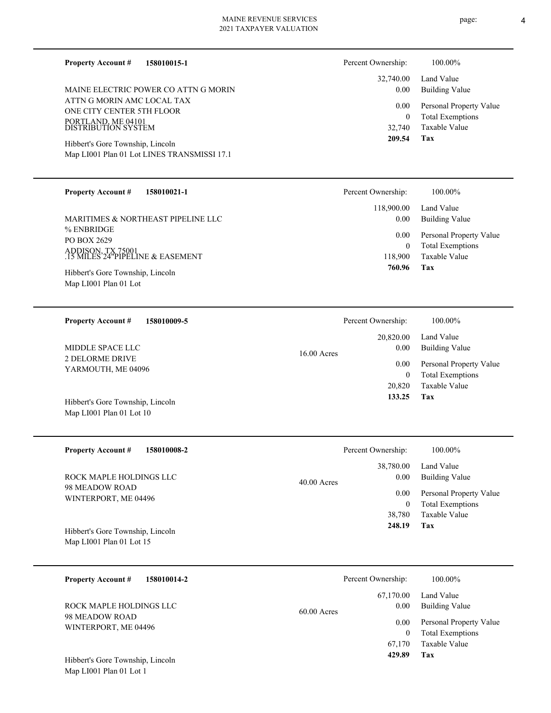| 158010015-1<br><b>Property Account #</b>                                        | Percent Ownership:         | 100.00%                                            |
|---------------------------------------------------------------------------------|----------------------------|----------------------------------------------------|
|                                                                                 | 32,740.00                  | Land Value                                         |
| MAINE ELECTRIC POWER CO ATTN G MORIN                                            | 0.00                       | <b>Building Value</b>                              |
| ATTN G MORIN AMC LOCAL TAX<br>ONE CITY CENTER 5TH FLOOR                         | 0.00                       | Personal Property Value                            |
| PORTLAND, ME 04101<br>DISTRIBUTION SYSTEM                                       | $\overline{0}$<br>32,740   | <b>Total Exemptions</b><br>Taxable Value           |
|                                                                                 | 209.54                     | Tax                                                |
| Hibbert's Gore Township, Lincoln<br>Map LI001 Plan 01 Lot LINES TRANSMISSI 17.1 |                            |                                                    |
|                                                                                 |                            |                                                    |
| <b>Property Account #</b><br>158010021-1                                        | Percent Ownership:         | 100.00%                                            |
| MARITIMES & NORTHEAST PIPELINE LLC                                              | 118,900.00<br>0.00         | Land Value<br><b>Building Value</b>                |
| % ENBRIDGE<br>PO BOX 2629                                                       | 0.00                       | Personal Property Value                            |
| ADDISON, TX 75001<br>.15 MILES 24 "PIPELINE & EASEMENT                          | $\boldsymbol{0}$           | <b>Total Exemptions</b>                            |
|                                                                                 | 118,900<br>760.96          | Taxable Value<br>Tax                               |
| Hibbert's Gore Township, Lincoln<br>Map LI001 Plan 01 Lot                       |                            |                                                    |
|                                                                                 |                            |                                                    |
| <b>Property Account #</b><br>158010009-5                                        | Percent Ownership:         | 100.00%                                            |
|                                                                                 | 20,820.00                  | Land Value                                         |
| MIDDLE SPACE LLC                                                                | 0.00<br>$16.00$ Acres      | <b>Building Value</b>                              |
| <b>2 DELORME DRIVE</b><br>YARMOUTH, ME 04096                                    | 0.00                       | Personal Property Value                            |
|                                                                                 | $\boldsymbol{0}$<br>20,820 | <b>Total Exemptions</b><br>Taxable Value           |
|                                                                                 | 133.25                     | <b>Tax</b>                                         |
| Hibbert's Gore Township, Lincoln<br>Map LI001 Plan 01 Lot 10                    |                            |                                                    |
|                                                                                 |                            |                                                    |
| <b>Property Account #</b><br>158010008-2                                        | Percent Ownership:         | 100.00%                                            |
|                                                                                 | 38,780.00                  | Land Value                                         |
| ROCK MAPLE HOLDINGS LLC                                                         | 0.00<br>$40.00$ Acres      | <b>Building Value</b>                              |
| 98 MEADOW ROAD<br>WINTERPORT, ME 04496                                          | 0.00<br>$\mathbf{0}$       | Personal Property Value<br><b>Total Exemptions</b> |

Map LI001 Plan 01 Lot 15 Hibbert's Gore Township, Lincoln

| 158010014-2<br><b>Property Account #</b> | Percent Ownership:    | 100.00%                 |
|------------------------------------------|-----------------------|-------------------------|
|                                          | 67,170.00             | Land Value              |
| ROCK MAPLE HOLDINGS LLC                  | 0.00<br>$60.00$ Acres | <b>Building Value</b>   |
| 98 MEADOW ROAD<br>WINTERPORT, ME 04496   | 0.00                  | Personal Property Value |
|                                          | 0                     | <b>Total Exemptions</b> |
|                                          | 67.170                | Taxable Value           |
| Hibbert's Gore Township, Lincoln         | 429.89                | Tax                     |

**Tax 248.19**

38,780

Taxable Value

Map LI001 Plan 01 Lot 1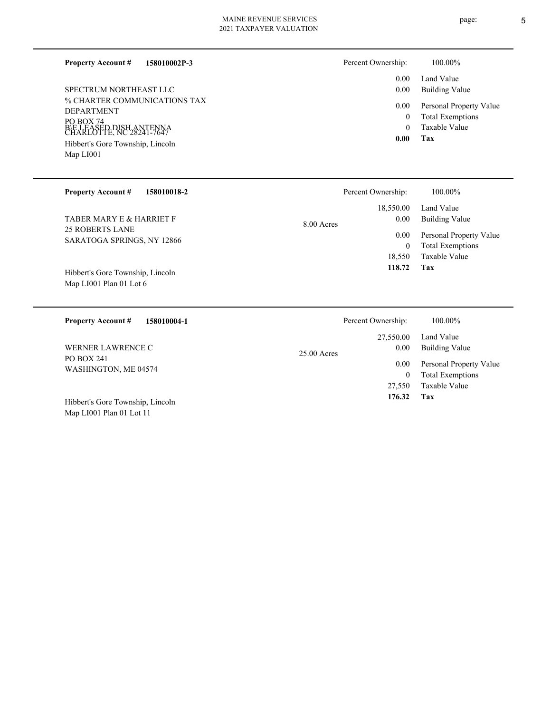**158010002P-3 Property Account #**

% CHARTER COMMUNICATIONS TAX DEPARTMENT PO BOX 74 B\E LEASED DISH ANTENNA<br>CHARLOTTE, NC 28241-7647 Map LI001 Hibbert's Gore Township, Lincoln SPECTRUM NORTHEAST LLC

Map LI001 Plan 01 Lot 11

| Percent Ownership: | 100.00% |
|--------------------|---------|
|                    |         |

| 0.00<br>0.00 | Land Value<br><b>Building Value</b> |
|--------------|-------------------------------------|
| 0.00         | Personal Property Value             |
| 0            | <b>Total Exemptions</b>             |
| 0            | Taxable Value                       |
| 0.00         | Tax                                 |

| <b>Property Account #</b><br>158010018-2                    | 100.00%<br>Percent Ownership:                                                                         |  |
|-------------------------------------------------------------|-------------------------------------------------------------------------------------------------------|--|
| TABER MARY E & HARRIET F                                    | 18,550.00<br>Land Value<br><b>Building Value</b><br>0.00<br>$8.00$ Acres                              |  |
| <b>25 ROBERTS LANE</b><br>SARATOGA SPRINGS, NY 12866        | Personal Property Value<br>0.00<br><b>Total Exemptions</b><br>$\mathbf{0}$<br>Taxable Value<br>18,550 |  |
| Hibbert's Gore Township, Lincoln<br>Map LI001 Plan 01 Lot 6 | 118.72<br>Tax                                                                                         |  |
|                                                             |                                                                                                       |  |
| <b>Property Account #</b><br>158010004-1                    | Percent Ownership:<br>100.00%                                                                         |  |
| <b>WERNER LAWRENCE C</b>                                    | 27,550.00<br>Land Value<br>0.00<br><b>Building Value</b>                                              |  |
| PO BOX 241<br>WASHINGTON, ME 04574                          | $25.00$ Acres<br>Personal Property Value<br>0.00<br>$\mathbf{0}$<br><b>Total Exemptions</b>           |  |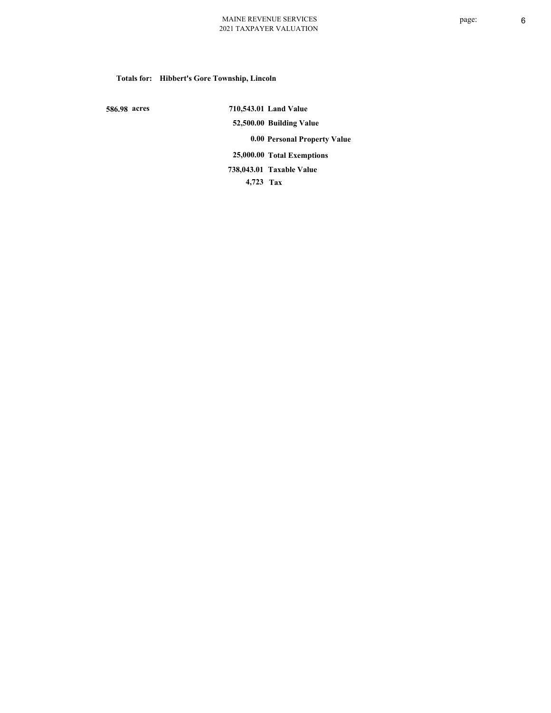# **Totals for: Hibbert's Gore Township, Lincoln**

 **586.98 acres**

 **710,543.01 Land Value 52,500.00 Building Value 0.00 Personal Property Value 25,000.00 Total Exemptions 4,723 Tax Taxable Value 738,043.01**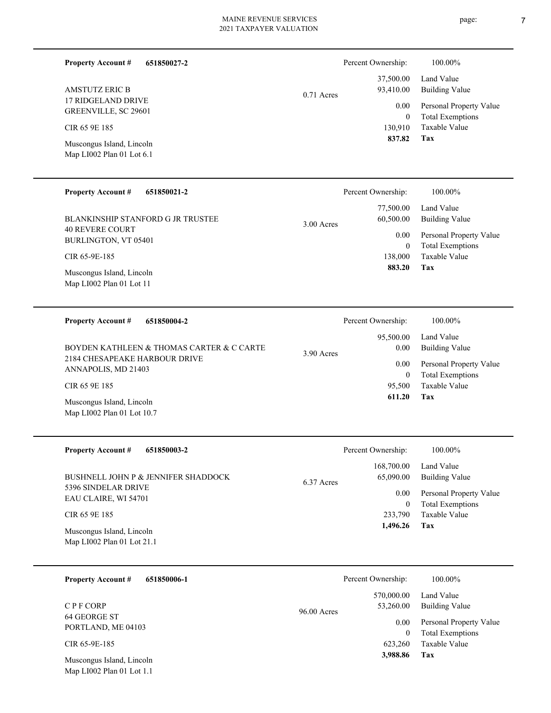**651850027-2**

**Property Account #**

| page: |  |
|-------|--|
|       |  |

Percent Ownership:  $100.00\%$ 

| <b>AMSTUTZ ERIC B</b><br><b>17 RIDGELAND DRIVE</b><br>GREENVILLE, SC 29601<br>CIR 65 9E 185<br>Muscongus Island, Lincoln<br>Map LI002 Plan 01 Lot 6.1                                                                     | $0.71$ Acres | 37,500.00<br>93,410.00<br>0.00<br>$\boldsymbol{0}$<br>130,910<br>837.82                          | Land Value<br><b>Building Value</b><br>Personal Property Value<br><b>Total Exemptions</b><br><b>Taxable Value</b><br>Tax     |
|---------------------------------------------------------------------------------------------------------------------------------------------------------------------------------------------------------------------------|--------------|--------------------------------------------------------------------------------------------------|------------------------------------------------------------------------------------------------------------------------------|
| <b>Property Account #</b><br>651850021-2<br>BLANKINSHIP STANFORD G JR TRUSTEE<br><b>40 REVERE COURT</b><br>BURLINGTON, VT 05401<br>CIR 65-9E-185<br>Muscongus Island, Lincoln<br>Map LI002 Plan 01 Lot 11                 | 3.00 Acres   | Percent Ownership:<br>77,500.00<br>60,500.00<br>0.00<br>$\boldsymbol{0}$<br>138,000<br>883.20    | 100.00%<br>Land Value<br><b>Building Value</b><br>Personal Property Value<br><b>Total Exemptions</b><br>Taxable Value<br>Tax |
| <b>Property Account #</b><br>651850004-2<br>BOYDEN KATHLEEN & THOMAS CARTER & C CARTE<br>2184 CHESAPEAKE HARBOUR DRIVE<br>ANNAPOLIS, MD 21403<br>CIR 65 9E 185<br>Muscongus Island, Lincoln<br>Map LI002 Plan 01 Lot 10.7 | 3.90 Acres   | Percent Ownership:<br>95,500.00<br>0.00<br>0.00<br>$\boldsymbol{0}$<br>95,500<br>611.20          | 100.00%<br>Land Value<br><b>Building Value</b><br>Personal Property Value<br><b>Total Exemptions</b><br>Taxable Value<br>Tax |
| <b>Property Account #</b><br>651850003-2<br>BUSHNELL JOHN P & JENNIFER SHADDOCK<br>5396 SINDELAR DRIVE<br>EAU CLAIRE, WI 54701<br>CIR 65 9E 185<br>Muscongus Island, Lincoln<br>Map LI002 Plan 01 Lot 21.1                | 6.37 Acres   | Percent Ownership:<br>168,700.00<br>65,090.00<br>0.00<br>$\boldsymbol{0}$<br>233,790<br>1,496.26 | 100.00%<br>Land Value<br>Building Value<br>Personal Property Value<br><b>Total Exemptions</b><br>Taxable Value<br>Tax        |
| 651850006-1<br><b>Property Account #</b><br>CPF CORP<br>64 GEORGE ST<br>PORTLAND, ME 04103<br>CIR 65-9E-185<br>Muscongus Island, Lincoln<br>Map LI002 Plan 01 Lot 1.1                                                     | 96.00 Acres  | Percent Ownership:<br>570,000.00<br>53,260.00<br>0.00<br>$\overline{0}$<br>623,260<br>3,988.86   | 100.00%<br>Land Value<br><b>Building Value</b><br>Personal Property Value<br><b>Total Exemptions</b><br>Taxable Value<br>Tax |

÷.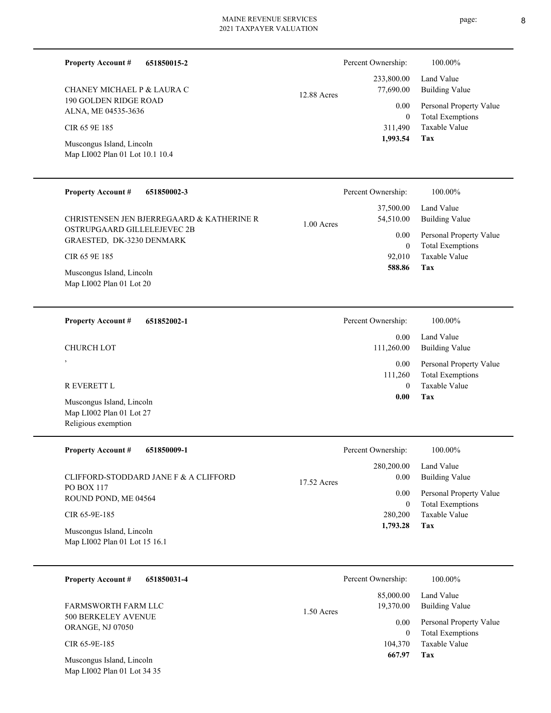| <b>Property Account #</b><br>651850015-2                                     | 100.00%<br>Percent Ownership:                                                 |                         |
|------------------------------------------------------------------------------|-------------------------------------------------------------------------------|-------------------------|
| CHANEY MICHAEL P & LAURA C                                                   | Land Value<br>233,800.00<br>77,690.00<br><b>Building Value</b><br>12.88 Acres |                         |
| 190 GOLDEN RIDGE ROAD<br>ALNA, ME 04535-3636                                 | 0.00                                                                          | Personal Property Value |
| CIR 65 9E 185                                                                | <b>Total Exemptions</b><br>$\boldsymbol{0}$<br>Taxable Value<br>311,490       |                         |
| Muscongus Island, Lincoln<br>Map LI002 Plan 01 Lot 10.1 10.4                 | 1,993.54<br>Tax                                                               |                         |
| <b>Property Account #</b><br>651850002-3                                     | 100.00%<br>Percent Ownership:                                                 |                         |
| CHRISTENSEN JEN BJERREGAARD & KATHERINE R                                    | Land Value<br>37,500.00<br>54,510.00<br><b>Building Value</b><br>1.00 Acres   |                         |
| OSTRUPGAARD GILLELEJEVEC 2B<br>GRAESTED, DK-3230 DENMARK                     | 0.00<br><b>Total Exemptions</b><br>$\boldsymbol{0}$                           | Personal Property Value |
| CIR 65 9E 185                                                                | <b>Taxable Value</b><br>92,010<br>Tax<br>588.86                               |                         |
| Muscongus Island, Lincoln<br>Map LI002 Plan 01 Lot 20                        |                                                                               |                         |
|                                                                              |                                                                               |                         |
| <b>Property Account #</b><br>651852002-1                                     | 100.00%<br>Percent Ownership:                                                 |                         |
| <b>CHURCH LOT</b>                                                            | Land Value<br>0.00<br><b>Building Value</b><br>111,260.00                     |                         |
|                                                                              | 0.00<br><b>Total Exemptions</b><br>111,260                                    | Personal Property Value |
| R EVERETT L                                                                  | Taxable Value<br>$\mathbf{0}$<br>0.00<br>Tax                                  |                         |
| Muscongus Island, Lincoln<br>Map LI002 Plan 01 Lot 27<br>Religious exemption |                                                                               |                         |
|                                                                              |                                                                               |                         |
| <b>Property Account #</b><br>651850009-1                                     | 100.00%<br>Percent Ownership:                                                 |                         |
| CLIFFORD-STODDARD JANE F & A CLIFFORD<br>PO BOX 117                          | Land Value<br>280,200.00<br>0.00<br><b>Building Value</b><br>17.52 Acres      |                         |
| ROUND POND, ME 04564                                                         | 0.00<br><b>Total Exemptions</b><br>$\boldsymbol{0}$                           | Personal Property Value |
| CIR 65-9E-185                                                                | Taxable Value<br>280,200<br>Tax<br>1,793.28                                   |                         |
| Muscongus Island, Lincoln<br>Map LI002 Plan 01 Lot 15 16.1                   |                                                                               |                         |
|                                                                              |                                                                               |                         |

| 651850031-4<br><b>Property Account #</b>              | Percent Ownership:        | 100.00%                 |
|-------------------------------------------------------|---------------------------|-------------------------|
|                                                       | 85,000.00                 | Land Value              |
| <b>FARMSWORTH FARM LLC</b>                            | 19,370.00<br>$1.50$ Acres | Building Value          |
| <b>500 BERKELEY AVENUE</b><br><b>ORANGE, NJ 07050</b> | 0.00                      | Personal Property Value |
|                                                       |                           | <b>Total Exemptions</b> |
| CIR 65-9E-185                                         | 104,370                   | Taxable Value           |
| Muscongus Island, Lincoln                             | 667.97                    | Tax                     |
| Map LI002 Plan 01 Lot 34 35                           |                           |                         |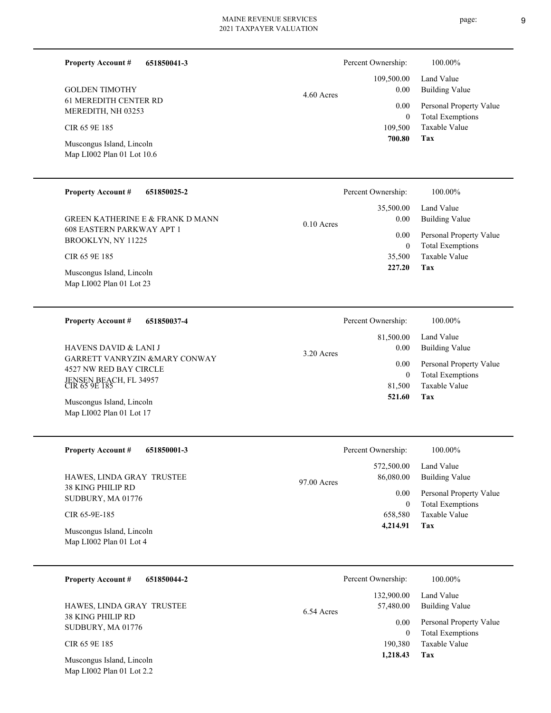0.10 Acres

**651850041-3 Property Account #**

61 MEREDITH CENTER RD MEREDITH, NH 03253 GOLDEN TIMOTHY

CIR 65 9E 185

Map LI002 Plan 01 Lot 10.6 Muscongus Island, Lincoln

#### **651850025-2 Property Account #**

608 EASTERN PARKWAY APT 1 BROOKLYN, NY 11225 GREEN KATHERINE E & FRANK D MANN

CIR 65 9E 185

Map LI002 Plan 01 Lot 23 Muscongus Island, Lincoln

**651850037-4 Property Account #**

GARRETT VANRYZIN &MARY CONWAY 4527 NW RED BAY CIRCLE JENSEN BEACH, FL 34957 CIR 65 9E 185 HAVENS DAVID & LANI J

Map LI002 Plan 01 Lot 17 Muscongus Island, Lincoln

**651850001-3 Property Account #**

38 KING PHILIP RD SUDBURY, MA 01776 HAWES, LINDA GRAY TRUSTEE

CIR 65-9E-185

Map LI002 Plan 01 Lot 4 Muscongus Island, Lincoln

| <b>Property Account #</b> | 651850044-2 |
|---------------------------|-------------|
|---------------------------|-------------|

38 KING PHILIP RD SUDBURY, MA 01776 HAWES, LINDA GRAY TRUSTEE

CIR 65 9E 185

Map LI002 Plan 01 Lot 2.2 Muscongus Island, Lincoln

| Percent Ownership: | 100.00%                                                             |
|--------------------|---------------------------------------------------------------------|
| 35,500.00<br>0.00  | Land Value<br>Building Value                                        |
| 0.00<br>0          | Personal Property Value<br><b>Total Exemptions</b><br>Taxable Value |
| 35,500<br>227.20   | Tax                                                                 |

|              | Percent Ownership: | 100.00%                 |
|--------------|--------------------|-------------------------|
|              |                    | 81,500.00 Land Value    |
| $3.20$ Acres | 0.00               | Building Value          |
|              | 0.00               | Personal Property Value |
|              | 0                  | <b>Total Exemptions</b> |
|              | 81,500             | Taxable Value           |
|              | 521.60             | Tax                     |

|             | Percent Ownership:               | 100.00%                                                                    |
|-------------|----------------------------------|----------------------------------------------------------------------------|
| 97.00 Acres | 572,500.00<br>86,080.00          | Land Value<br><b>Building Value</b>                                        |
|             | 0.00<br>0<br>658,580<br>4,214.91 | Personal Property Value<br><b>Total Exemptions</b><br>Taxable Value<br>Tax |

|            | Percent Ownership: | 100.00%                 |
|------------|--------------------|-------------------------|
|            | 132,900.00         | Land Value              |
| 6.54 Acres | 57,480.00          | Building Value          |
|            | 0.00               | Personal Property Value |
|            | 0                  | <b>Total Exemptions</b> |
|            | 190,380            | Taxable Value           |
|            | 1,218.43           | Tax                     |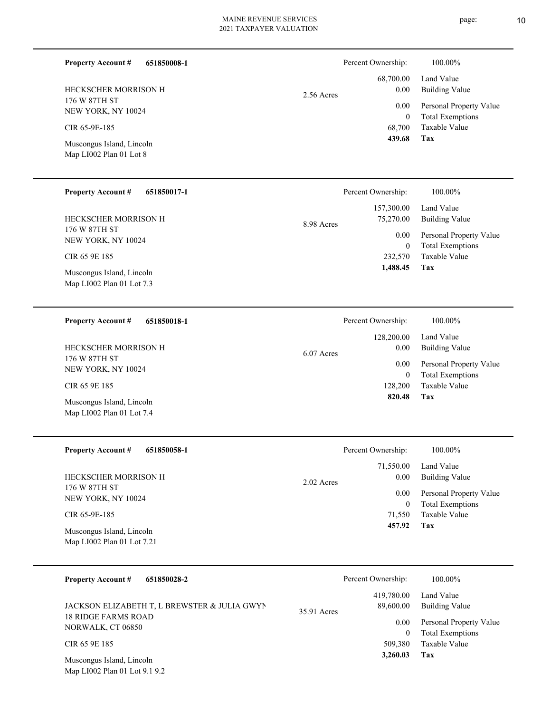| <b>Property Account #</b><br>651850008-1                   |              | Percent Ownership:         | 100.00%                                            |
|------------------------------------------------------------|--------------|----------------------------|----------------------------------------------------|
| HECKSCHER MORRISON H                                       | 2.56 Acres   | 68,700.00<br>0.00          | Land Value<br><b>Building Value</b>                |
| 176 W 87TH ST<br>NEW YORK, NY 10024                        |              | $0.00\,$<br>$\overline{0}$ | Personal Property Value<br><b>Total Exemptions</b> |
| CIR 65-9E-185                                              |              | 68,700<br>439.68           | Taxable Value<br>Tax                               |
| Muscongus Island, Lincoln<br>Map LI002 Plan 01 Lot 8       |              |                            |                                                    |
| <b>Property Account #</b><br>651850017-1                   |              | Percent Ownership:         | 100.00%                                            |
| HECKSCHER MORRISON H                                       | 8.98 Acres   | 157,300.00<br>75,270.00    | Land Value<br><b>Building Value</b>                |
| 176 W 87TH ST<br>NEW YORK, NY 10024                        |              | 0.00<br>$\overline{0}$     | Personal Property Value<br><b>Total Exemptions</b> |
| CIR 65 9E 185                                              |              | 232,570<br>1,488.45        | Taxable Value<br>Tax                               |
| Muscongus Island, Lincoln<br>Map LI002 Plan 01 Lot 7.3     |              |                            |                                                    |
| <b>Property Account #</b><br>651850018-1                   |              | Percent Ownership:         | 100.00%                                            |
| HECKSCHER MORRISON H                                       | $6.07$ Acres | 128,200.00<br>0.00         | Land Value<br><b>Building Value</b>                |
| 176 W 87TH ST<br>NEW YORK, NY 10024                        |              | 0.00<br>$\overline{0}$     | Personal Property Value<br><b>Total Exemptions</b> |
| CIR 65 9E 185                                              |              | 128,200<br>820.48          | Taxable Value<br>Tax                               |
| Muscongus Island, Lincoln<br>Map LI002 Plan 01 Lot 7.4     |              |                            |                                                    |
| <b>Property Account #</b><br>651850058-1                   |              | Percent Ownership:         | 100.00%                                            |
| HECKSCHER MORRISON H                                       | 2.02 Acres   | 71,550.00<br>0.00          | Land Value<br><b>Building Value</b>                |
| 176 W 87TH ST<br>NEW YORK, NY 10024                        |              | 0.00                       | Personal Property Value                            |
| CIR 65-9E-185                                              |              | $\overline{0}$<br>71,550   | <b>Total Exemptions</b><br>Taxable Value           |
| Muscongus Island, Lincoln<br>Map LI002 Plan 01 Lot 7.21    |              | 457.92                     | Tax                                                |
| <b>Property Account #</b><br>651850028-2                   |              | Percent Ownership:         | 100.00%                                            |
| JACKSON ELIZABETH T, L BREWSTER & JULIA GWYN               | 35.91 Acres  | 419,780.00<br>89,600.00    | Land Value<br><b>Building Value</b>                |
| <b>18 RIDGE FARMS ROAD</b><br>NORWALK, CT 06850            |              | 0.00<br>$\overline{0}$     | Personal Property Value<br><b>Total Exemptions</b> |
| CIR 65 9E 185                                              |              | 509,380                    | Taxable Value                                      |
| Muscongus Island, Lincoln<br>Map LI002 Plan 01 Lot 9.1 9.2 |              | 3,260.03                   | Tax                                                |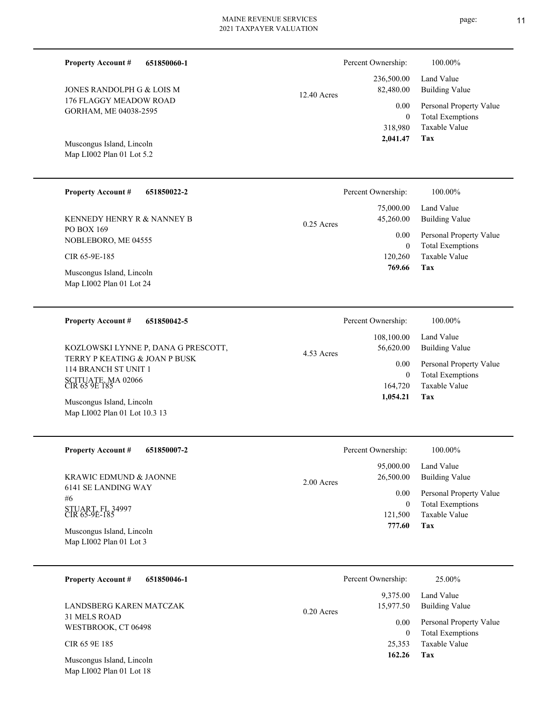**651850060-1 Property Account #**

176 FLAGGY MEADOW ROAD GORHAM, ME 04038-2595 JONES RANDOLPH G & LOIS M

Map LI002 Plan 01 Lot 5.2 Muscongus Island, Lincoln

#### **651850022-2 Property Account #**

PO BOX 169 NOBLEBORO, ME 04555 KENNEDY HENRY R & NANNEY B

CIR 65-9E-185

Map LI002 Plan 01 Lot 24 Muscongus Island, Lincoln

**651850042-5 Property Account #**

TERRY P KEATING & JOAN P BUSK 114 BRANCH ST UNIT 1 SCITUATE, MA 02066 CIR 65 9E 185 KOZLOWSKI LYNNE P, DANA G PRESCOTT,

Map LI002 Plan 01 Lot 10.3 13 Muscongus Island, Lincoln

**651850007-2 Property Account #**

6141 SE LANDING WAY #6 STUART, FL 34997 CIR 65-9E-185 KRAWIC EDMUND & JAONNE

Map LI002 Plan 01 Lot 3 Muscongus Island, Lincoln

31 MELS ROAD WESTBROOK, CT 06498 LANDSBERG KAREN MATCZAK

CIR 65 9E 185

Map LI002 Plan 01 Lot 18 Muscongus Island, Lincoln

|               |              | 236,500.00 Land Value   |
|---------------|--------------|-------------------------|
| $12.40$ Acres | 82,480.00    | <b>Building Value</b>   |
|               | 0.00         | Personal Property Value |
|               | $\theta$     | <b>Total Exemptions</b> |
|               |              | 318,980 Taxable Value   |
|               | 2,041.47 Tax |                         |
|               |              |                         |

Percent Ownership: 100.00%

|              | Percent Ownership: | 100.00%                 |
|--------------|--------------------|-------------------------|
|              |                    | 75,000.00 Land Value    |
| $0.25$ Acres | 45,260.00          | Building Value          |
|              | 0.00               | Personal Property Value |
|              | $\theta$           | <b>Total Exemptions</b> |
|              | 120,260            | Taxable Value           |
|              | 769.66             | Tax                     |

|            | Percent Ownership: | 100.00%                 |
|------------|--------------------|-------------------------|
|            | 108,100.00         | Land Value              |
| 4.53 Acres | 56,620.00          | Building Value          |
|            | 0.00               | Personal Property Value |
|            | 0                  | <b>Total Exemptions</b> |
|            | 164,720            | Taxable Value           |
|            | 1,054.21           | Tax                     |

|            | Percent Ownership: | 100.00%                 |
|------------|--------------------|-------------------------|
|            | 95,000.00          | Land Value              |
| 2.00 Acres | 26,500.00          | <b>Building Value</b>   |
|            | 0.00               | Personal Property Value |
|            | 0                  | <b>Total Exemptions</b> |
|            | 121,500            | Taxable Value           |
|            | 777.60             | Tax                     |
|            |                    |                         |

|              | Percent Ownership: | 25.00%                  |
|--------------|--------------------|-------------------------|
|              | 9,375.00           | Land Value              |
| $0.20$ Acres | 15,977.50          | Building Value          |
|              | 0.00               | Personal Property Value |
|              | $\theta$           | <b>Total Exemptions</b> |
|              | 25,353             | Taxable Value           |
|              | 162.26             | Tax                     |
|              |                    |                         |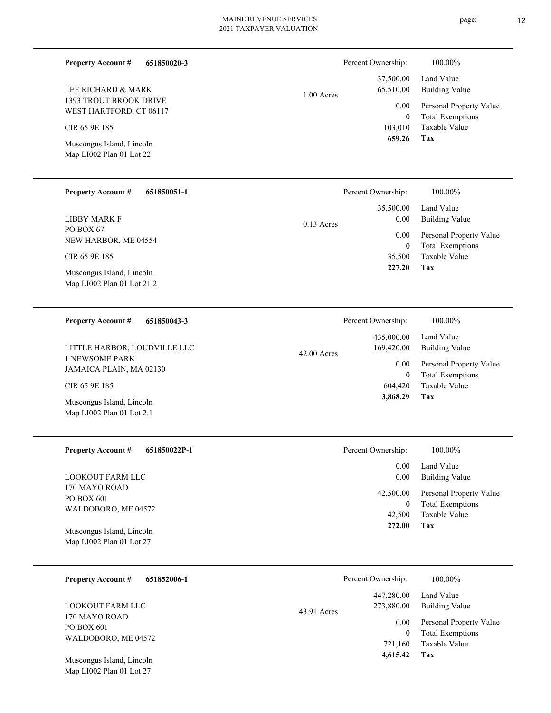**651850020-3**

1393 TROUT BROOK DRIVE WEST HARTFORD, CT 06117 LEE RICHARD & MARK

CIR 65 9E 185

**Property Account #**

Map LI002 Plan 01 Lot 22 Muscongus Island, Lincoln

#### **651850051-1 Property Account #**

PO BOX 67 NEW HARBOR, ME 04554 LIBBY MARK F

CIR 65 9E 185

Map LI002 Plan 01 Lot 21.2 Muscongus Island, Lincoln

#### **651850043-3 Property Account #**

1 NEWSOME PARK JAMAICA PLAIN, MA 02130 LITTLE HARBOR, LOUDVILLE LLC

CIR 65 9E 185

Map LI002 Plan 01 Lot 2.1 Muscongus Island, Lincoln

**651850022P-1 Property Account #**

170 MAYO ROAD PO BOX 601 WALDOBORO, ME 04572 LOOKOUT FARM LLC

Map LI002 Plan 01 Lot 27 Muscongus Island, Lincoln

| 651852006-1 |
|-------------|
|             |

170 MAYO ROAD PO BOX 601 WALDOBORO, ME 04572 LOOKOUT FARM LLC

Map LI002 Plan 01 Lot 27 Muscongus Island, Lincoln

|              | Percent Ownership: | 100.00%                 |
|--------------|--------------------|-------------------------|
|              | 37,500.00          | Land Value              |
| $1.00$ Acres | 65,510.00          | Building Value          |
|              | 0.00               | Personal Property Value |
|              | 0                  | <b>Total Exemptions</b> |
|              | 103,010            | Taxable Value           |
|              | 659.26             | Тях                     |

|              | Percent Ownership: | 100.00%                 |
|--------------|--------------------|-------------------------|
|              |                    | 35,500.00 Land Value    |
| $0.13$ Acres | 0.00               | <b>Building Value</b>   |
|              | 0.00               | Personal Property Value |
|              | $\theta$           | <b>Total Exemptions</b> |
|              | 35,500             | Taxable Value           |
|              | 227.20             | Tax                     |

|               | Percent Ownership: | 100.00%                 |
|---------------|--------------------|-------------------------|
|               | 435,000.00         | Land Value              |
| $42.00$ Acres | 169,420.00         | <b>Building Value</b>   |
|               | 0.00               | Personal Property Value |
|               | $\theta$           | <b>Total Exemptions</b> |
|               | 604,420            | Taxable Value           |
|               | 3,868.29           | Tax                     |
|               |                    |                         |

| Percent Ownership: | 100.00%                                                                       |
|--------------------|-------------------------------------------------------------------------------|
| $0.00 -$<br>0.00   | Land Value<br><b>Building Value</b>                                           |
| 0<br>42,500        | 42,500.00 Personal Property Value<br><b>Total Exemptions</b><br>Taxable Value |
| 272.00             | Tax                                                                           |

|             | Percent Ownership:               | 100.00%                                                                    |
|-------------|----------------------------------|----------------------------------------------------------------------------|
| 43.91 Acres | 447,280.00<br>273,880.00         | Land Value<br><b>Building Value</b>                                        |
|             | 0.00<br>0<br>721,160<br>4,615.42 | Personal Property Value<br><b>Total Exemptions</b><br>Taxable Value<br>Tax |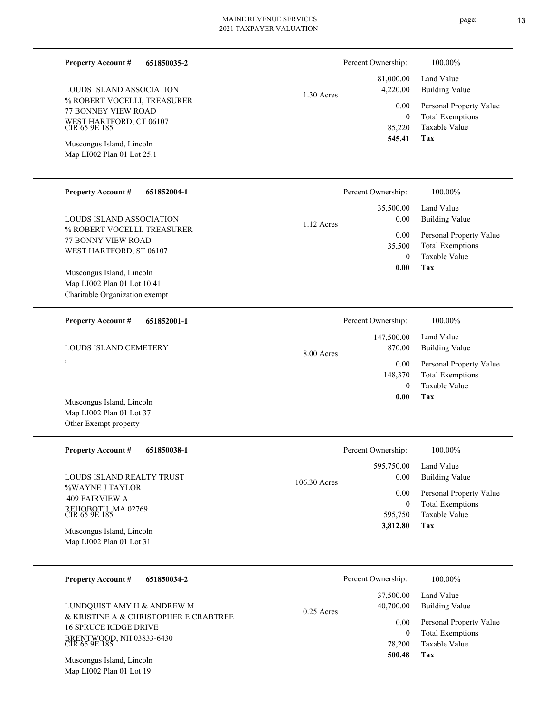| 651850035-2<br><b>Property Account #</b>                                                                                                                  |              | Percent Ownership:                         | 100.00%                                                                           |
|-----------------------------------------------------------------------------------------------------------------------------------------------------------|--------------|--------------------------------------------|-----------------------------------------------------------------------------------|
| LOUDS ISLAND ASSOCIATION                                                                                                                                  | 1.30 Acres   | 81,000.00<br>4,220.00                      | Land Value<br><b>Building Value</b>                                               |
| % ROBERT VOCELLI, TREASURER<br>77 BONNEY VIEW ROAD<br>WEST HARTFORD, CT 06107<br>CIR 65 9E 185<br>Muscongus Island, Lincoln<br>Map LI002 Plan 01 Lot 25.1 |              | 0.00<br>$\overline{0}$<br>85,220<br>545.41 | Personal Property Value<br><b>Total Exemptions</b><br>Taxable Value<br>Tax        |
|                                                                                                                                                           |              |                                            |                                                                                   |
| <b>Property Account #</b><br>651852004-1                                                                                                                  |              | Percent Ownership:                         | 100.00%                                                                           |
| LOUDS ISLAND ASSOCIATION                                                                                                                                  | 1.12 Acres   | 35,500.00<br>0.00                          | Land Value<br><b>Building Value</b>                                               |
| % ROBERT VOCELLI, TREASURER<br>77 BONNY VIEW ROAD<br>WEST HARTFORD, ST 06107<br>Muscongus Island, Lincoln                                                 |              | 0.00<br>35,500<br>$\theta$<br>0.00         | Personal Property Value<br><b>Total Exemptions</b><br><b>Taxable Value</b><br>Tax |
| Map LI002 Plan 01 Lot 10.41<br>Charitable Organization exempt                                                                                             |              |                                            |                                                                                   |
| <b>Property Account #</b><br>651852001-1                                                                                                                  |              | Percent Ownership:                         | 100.00%                                                                           |
| LOUDS ISLAND CEMETERY                                                                                                                                     | 8.00 Acres   | 147,500.00<br>870.00                       | Land Value<br><b>Building Value</b>                                               |
| ,                                                                                                                                                         |              | 0.00<br>148,370<br>$\theta$<br>0.00        | Personal Property Value<br><b>Total Exemptions</b><br><b>Taxable Value</b><br>Tax |
| Muscongus Island, Lincoln<br>Map LI002 Plan 01 Lot 37<br>Other Exempt property                                                                            |              |                                            |                                                                                   |
| <b>Property Account #</b><br>651850038-1                                                                                                                  |              | Percent Ownership:                         | 100.00%                                                                           |
| LOUDS ISLAND REALTY TRUST                                                                                                                                 | 106.30 Acres | 595,750.00<br>0.00                         | Land Value<br><b>Building Value</b>                                               |
| %WAYNE J TAYLOR<br><b>409 FAIRVIEW A</b><br>REHOBOTH, MA 02769<br>CIR 65 9E 185                                                                           |              | 0.00<br>$\boldsymbol{0}$<br>595,750        | Personal Property Value<br><b>Total Exemptions</b><br>Taxable Value               |
| Muscongus Island, Lincoln<br>Map LI002 Plan 01 Lot 31                                                                                                     |              | 3,812.80                                   | Tax                                                                               |
| <b>Property Account #</b><br>651850034-2                                                                                                                  |              | Percent Ownership:                         | 100.00%                                                                           |
| LUNDQUIST AMY H & ANDREW M                                                                                                                                | $0.25$ Acres | 37,500.00<br>40,700.00                     | Land Value<br><b>Building Value</b>                                               |
| & KRISTINE A & CHRISTOPHER E CRABTREE<br><b>16 SPRUCE RIDGE DRIVE</b><br>BRENTWOOD, NH 03833-6430<br>CIR 65 9E 185                                        |              | 0.00<br>$\mathbf{0}$<br>78,200             | Personal Property Value<br><b>Total Exemptions</b><br>Taxable Value               |

**Tax 500.48**

Map LI002 Plan 01 Lot 19 Muscongus Island, Lincoln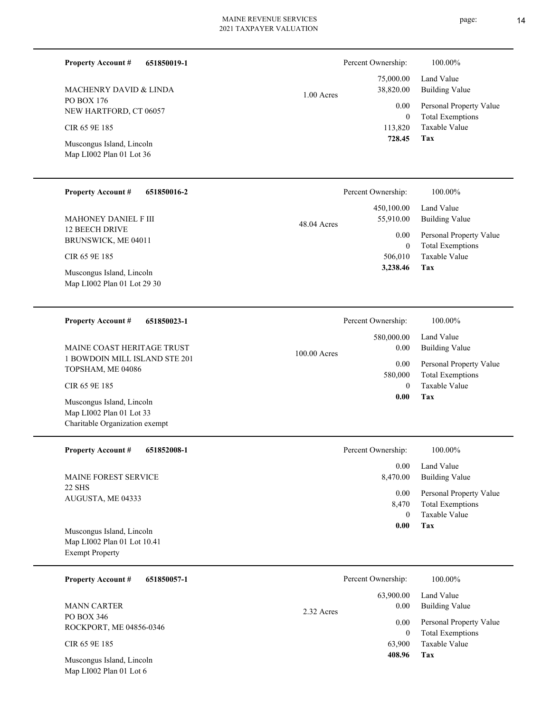| 651850019-1<br><b>Property Account #</b>                                                |              | Percent Ownership:       | 100.00%                                            |
|-----------------------------------------------------------------------------------------|--------------|--------------------------|----------------------------------------------------|
| <b>MACHENRY DAVID &amp; LINDA</b>                                                       | 1.00 Acres   | 75,000.00<br>38,820.00   | Land Value<br><b>Building Value</b>                |
| PO BOX 176<br>NEW HARTFORD, CT 06057                                                    |              | 0.00<br>$\overline{0}$   | Personal Property Value<br><b>Total Exemptions</b> |
| CIR 65 9E 185                                                                           |              | 113,820                  | Taxable Value                                      |
| Muscongus Island, Lincoln<br>Map LI002 Plan 01 Lot 36                                   |              | 728.45                   | Tax                                                |
| <b>Property Account #</b><br>651850016-2                                                |              | Percent Ownership:       | 100.00%                                            |
| <b>MAHONEY DANIEL F III</b>                                                             | 48.04 Acres  | 450,100.00<br>55,910.00  | Land Value<br><b>Building Value</b>                |
| 12 BEECH DRIVE<br>BRUNSWICK, ME 04011                                                   |              | 0.00<br>$\mathbf{0}$     | Personal Property Value<br><b>Total Exemptions</b> |
| CIR 65 9E 185                                                                           |              | 506,010<br>3,238.46      | Taxable Value<br>Tax                               |
| Muscongus Island, Lincoln<br>Map LI002 Plan 01 Lot 29 30                                |              |                          |                                                    |
| <b>Property Account #</b><br>651850023-1                                                |              | Percent Ownership:       | 100.00%                                            |
| MAINE COAST HERITAGE TRUST                                                              | 100.00 Acres | 580,000.00<br>0.00       | Land Value<br><b>Building Value</b>                |
| 1 BOWDOIN MILL ISLAND STE 201<br>TOPSHAM, ME 04086                                      |              | 0.00<br>580,000          | Personal Property Value<br><b>Total Exemptions</b> |
| CIR 65 9E 185                                                                           |              | $\mathbf{0}$<br>0.00     | <b>Taxable Value</b><br>Tax                        |
| Muscongus Island, Lincoln<br>Map LI002 Plan 01 Lot 33<br>Charitable Organization exempt |              |                          |                                                    |
| <b>Property Account #</b><br>651852008-1                                                |              | Percent Ownership:       | 100.00%                                            |
| MAINE FOREST SERVICE                                                                    |              | 0.00<br>8,470.00         | Land Value<br><b>Building Value</b>                |
| <b>22 SHS</b><br>AUGUSTA, ME 04333                                                      |              | 0.00<br>8,470            | Personal Property Value<br><b>Total Exemptions</b> |
| Muscongus Island, Lincoln                                                               |              | $\mathbf{0}$<br>0.00     | Taxable Value<br>Tax                               |
| Map LI002 Plan 01 Lot 10.41<br><b>Exempt Property</b>                                   |              |                          |                                                    |
| <b>Property Account #</b><br>651850057-1                                                |              | Percent Ownership:       | 100.00%                                            |
| <b>MANN CARTER</b>                                                                      | 2.32 Acres   | 63,900.00<br>0.00        | Land Value<br><b>Building Value</b>                |
| PO BOX 346<br>ROCKPORT, ME 04856-0346                                                   |              | $0.00\,$<br>$\mathbf{0}$ | Personal Property Value<br><b>Total Exemptions</b> |
| CIR 65 9E 185                                                                           |              | 63,900<br>408.96         | Taxable Value<br>Tax                               |

Map LI002 Plan 01 Lot 6 Muscongus Island, Lincoln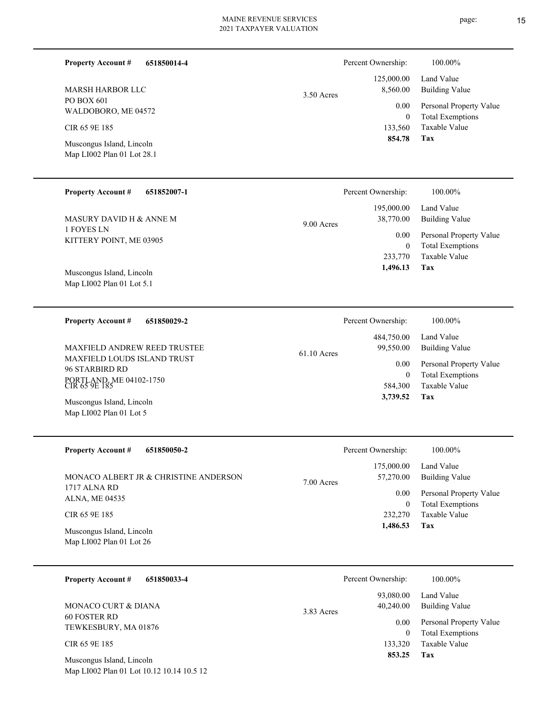| <b>Property Account #</b><br>651850014-4                           |             | Percent Ownership:                  | 100.00%                                                             |
|--------------------------------------------------------------------|-------------|-------------------------------------|---------------------------------------------------------------------|
| <b>MARSH HARBOR LLC</b>                                            | 3.50 Acres  | 125,000.00<br>8,560.00              | Land Value<br><b>Building Value</b>                                 |
| PO BOX 601<br>WALDOBORO, ME 04572                                  |             | 0.00<br>$\mathbf{0}$                | Personal Property Value<br><b>Total Exemptions</b>                  |
| CIR 65 9E 185                                                      |             | 133,560                             | Taxable Value                                                       |
| Muscongus Island, Lincoln<br>Map LI002 Plan 01 Lot 28.1            |             | 854.78                              | Tax                                                                 |
| <b>Property Account #</b><br>651852007-1                           |             | Percent Ownership:                  | 100.00%                                                             |
| MASURY DAVID H & ANNE M                                            | 9.00 Acres  | 195,000.00<br>38,770.00             | Land Value<br><b>Building Value</b>                                 |
| 1 FOYES LN<br>KITTERY POINT, ME 03905                              |             | 0.00<br>$\boldsymbol{0}$<br>233,770 | Personal Property Value<br><b>Total Exemptions</b><br>Taxable Value |
| Muscongus Island, Lincoln<br>Map LI002 Plan 01 Lot 5.1             |             | 1,496.13                            | Tax                                                                 |
|                                                                    |             |                                     | 100.00%                                                             |
| <b>Property Account #</b><br>651850029-2                           |             | Percent Ownership:<br>484,750.00    | Land Value                                                          |
| <b>MAXFIELD ANDREW REED TRUSTEE</b><br>MAXFIELD LOUDS ISLAND TRUST | 61.10 Acres | 99,550.00                           | <b>Building Value</b>                                               |
| 96 STARBIRD RD                                                     |             | 0.00<br>$\mathbf{0}$                | Personal Property Value<br><b>Total Exemptions</b>                  |
| PORTLAND, ME 04102-1750<br>CIR 65 9E 185                           |             | 584,300<br>3,739.52                 | Taxable Value<br>Tax                                                |
| Muscongus Island, Lincoln<br>Map LI002 Plan 01 Lot 5               |             |                                     |                                                                     |
| Property Account #<br>651850050-2                                  |             | Percent Ownership:                  | 100.00%                                                             |
| MONACO ALBERT JR & CHRISTINE ANDERSON                              | 7.00 Acres  | 175,000.00<br>57,270.00             | Land Value<br><b>Building Value</b>                                 |
| 1717 ALNA RD<br>ALNA, ME 04535                                     |             | 0.00                                | Personal Property Value                                             |
| CIR 65 9E 185                                                      |             | $\boldsymbol{0}$<br>232,270         | <b>Total Exemptions</b><br>Taxable Value                            |
| Muscongus Island, Lincoln<br>Map LI002 Plan 01 Lot 26              |             | 1,486.53                            | Tax                                                                 |

| <b>Property Account #</b><br>651850033-4 | Percent Ownership:                   | 100.00%                                            |
|------------------------------------------|--------------------------------------|----------------------------------------------------|
| MONACO CURT & DIANA                      | 93,080.00<br>40,240.00<br>3.83 Acres | Land Value<br>Building Value                       |
| 60 FOSTER RD<br>TEWKESBURY, MA 01876     | 0.00<br>$\Omega$                     | Personal Property Value<br><b>Total Exemptions</b> |
| CIR 65 9E 185                            | 133,320                              | Taxable Value                                      |
| Muscongus Island, Lincoln                | 853.25                               | Tax                                                |

Map LI002 Plan 01 Lot 10.12 10.14 10.5 12

L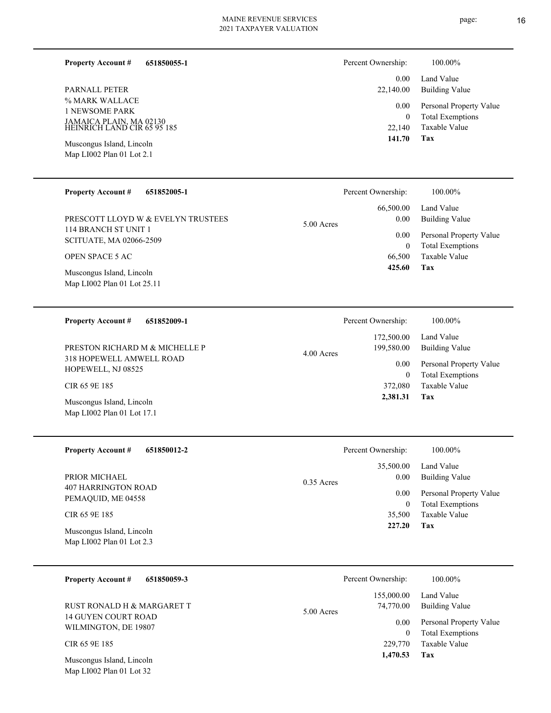**651850055-1 Property Account #**

% MARK WALLACE 1 NEWSOME PARK JAMAICA PLAIN, MA 02130 HEINRICH LAND CIR 65 95 185 PARNALL PETER

Map LI002 Plan 01 Lot 2.1 Muscongus Island, Lincoln

Map LI002 Plan 01 Lot 17.1

# 0.00 Percent Ownership:  $100.00\%$

| 141.70    | Tax                     |
|-----------|-------------------------|
| 22,140    | Taxable Value           |
| 0         | <b>Total Exemptions</b> |
| $0.00\,$  | Personal Property Value |
| 22,140.00 | Building Value          |
|           | 0.00 Land Value         |

| <b>Property Account #</b><br>651852005-1                 |            | Percent Ownership: | 100.00%                                            |
|----------------------------------------------------------|------------|--------------------|----------------------------------------------------|
|                                                          |            | 66,500.00          | Land Value                                         |
| PRESCOTT LLOYD W & EVELYN TRUSTEES                       | 5.00 Acres | 0.00               | Building Value                                     |
| 114 BRANCH ST UNIT 1<br><b>SCITUATE, MA 02066-2509</b>   |            | 0.00<br>$\theta$   | Personal Property Value<br><b>Total Exemptions</b> |
| <b>OPEN SPACE 5 AC</b>                                   |            | 66,500             | Taxable Value                                      |
| Muscongus Island, Lincoln<br>Map LI002 Plan 01 Lot 25.11 |            | 425.60             | Tax                                                |

| <b>Property Account #</b><br>651852009-1       | Percent Ownership:                     | 100.00%                                            |
|------------------------------------------------|----------------------------------------|----------------------------------------------------|
| PRESTON RICHARD M & MICHELLE P                 | 172,500.00<br>199,580.00<br>4.00 Acres | Land Value<br>Building Value                       |
| 318 HOPEWELL AMWELL ROAD<br>HOPEWELL, NJ 08525 | 0.00                                   | Personal Property Value<br><b>Total Exemptions</b> |
| CIR 65 9E 185                                  | 372,080                                | Taxable Value                                      |
| Muscongus Island, Lincoln                      | 2,381.31                               | Tax                                                |

| <b>Property Account #</b><br>651850012-2               | Percent Ownership:                | 100.00%                                            |
|--------------------------------------------------------|-----------------------------------|----------------------------------------------------|
| PRIOR MICHAEL                                          | 35,500.00<br>0.00<br>$0.35$ Acres | Land Value<br>Building Value                       |
| 407 HARRINGTON ROAD<br>PEMAQUID, ME 04558              | 0.00<br>0                         | Personal Property Value<br><b>Total Exemptions</b> |
| CIR 65 9E 185                                          | 35,500                            | Taxable Value                                      |
| Muscongus Island, Lincoln<br>Map LI002 Plan 01 Lot 2.3 | 227.20                            | Tax                                                |

| 651850059-3<br><b>Property Account #</b>                | Percent Ownership:                      | 100.00%                                            |
|---------------------------------------------------------|-----------------------------------------|----------------------------------------------------|
| RUST RONALD H & MARGARET T                              | 155,000.00<br>74,770.00<br>$5.00$ Acres | Land Value<br>Building Value                       |
| <b>14 GUYEN COURT ROAD</b><br>WILMINGTON, DE 19807      | 0.00<br>$\mathbf{0}$                    | Personal Property Value<br><b>Total Exemptions</b> |
| CIR 65 9E 185                                           | 229,770                                 | Taxable Value                                      |
| Muscongus Island, Lincoln<br>Map $LI002$ Plan 01 Lot 32 | 1,470.53                                | Tax                                                |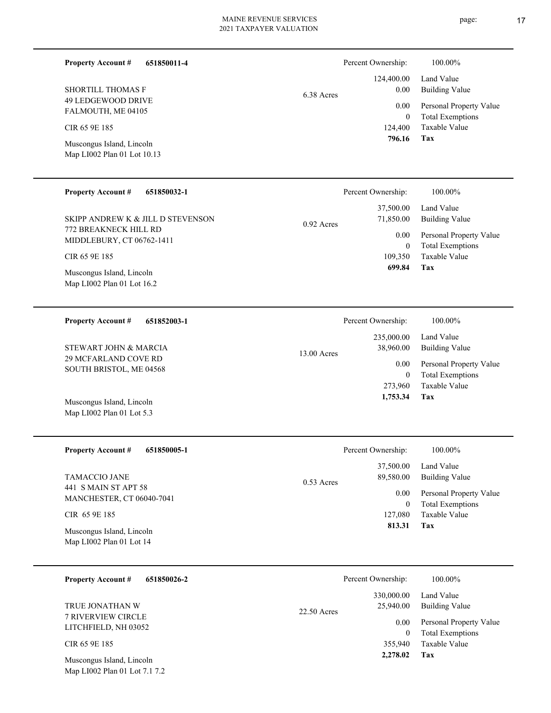| 651850011-4<br><b>Property Account #</b>                  |              | Percent Ownership:              | 100.00%                                                             |
|-----------------------------------------------------------|--------------|---------------------------------|---------------------------------------------------------------------|
| <b>SHORTILL THOMAS F</b><br>49 LEDGEWOOD DRIVE            | 6.38 Acres   | 124,400.00<br>0.00<br>0.00      | Land Value<br><b>Building Value</b><br>Personal Property Value      |
| FALMOUTH, ME 04105<br>CIR 65 9E 185                       |              | $\mathbf{0}$<br>124,400         | <b>Total Exemptions</b><br>Taxable Value                            |
| Muscongus Island, Lincoln<br>Map LI002 Plan 01 Lot 10.13  |              | 796.16                          | <b>Tax</b>                                                          |
| <b>Property Account #</b><br>651850032-1                  |              | Percent Ownership:              | 100.00%                                                             |
| SKIPP ANDREW K & JILL D STEVENSON                         | 0.92 Acres   | 37,500.00<br>71,850.00          | Land Value<br><b>Building Value</b>                                 |
| <b>772 BREAKNECK HILL RD</b><br>MIDDLEBURY, CT 06762-1411 |              | 0.00<br>$\boldsymbol{0}$        | Personal Property Value<br><b>Total Exemptions</b>                  |
| CIR 65 9E 185                                             |              | 109,350<br>699.84               | Taxable Value<br>Tax                                                |
| Muscongus Island, Lincoln<br>Map LI002 Plan 01 Lot 16.2   |              |                                 |                                                                     |
| <b>Property Account #</b><br>651852003-1                  |              | Percent Ownership:              | 100.00%                                                             |
| STEWART JOHN & MARCIA                                     |              | 235,000.00<br>38,960.00         | Land Value<br><b>Building Value</b>                                 |
| 29 MCFARLAND COVE RD<br>SOUTH BRISTOL, ME 04568           | 13.00 Acres  | 0.00<br>$\mathbf{0}$<br>273,960 | Personal Property Value<br><b>Total Exemptions</b><br>Taxable Value |
| Muscongus Island, Lincoln<br>Map LI002 Plan 01 Lot 5.3    |              | 1,753.34                        | Tax                                                                 |
| <b>Property Account #</b><br>651850005-1                  |              | Percent Ownership:              | 100.00%                                                             |
| TAMACCIO JANE                                             | $0.53$ Acres | 37,500.00<br>89,580.00          | Land Value<br><b>Building Value</b>                                 |
| 441 S MAIN ST APT 58<br>MANCHESTER, CT 06040-7041         |              | 0.00<br>$\boldsymbol{0}$        | Personal Property Value<br><b>Total Exemptions</b>                  |
| CIR 65 9E 185                                             |              | 127,080<br>813.31               | Taxable Value<br>Tax                                                |
| Muscongus Island, Lincoln<br>Map LI002 Plan 01 Lot 14     |              |                                 |                                                                     |

| 651850026-2<br><b>Property Account #</b>                   | Percent Ownership:                       | 100.00%                                            |
|------------------------------------------------------------|------------------------------------------|----------------------------------------------------|
| TRUE JONATHAN W                                            | 330,000.00<br>25,940.00<br>$22.50$ Acres | Land Value<br>Building Value                       |
| <b>7 RIVERVIEW CIRCLE</b><br>LITCHFIELD, NH 03052          | 0.00<br>$\Omega$                         | Personal Property Value<br><b>Total Exemptions</b> |
| CIR 65 9E 185                                              | 355,940                                  | Taxable Value                                      |
| Muscongus Island, Lincoln<br>Map LI002 Plan 01 Lot 7.1 7.2 | 2,278.02                                 | Tax                                                |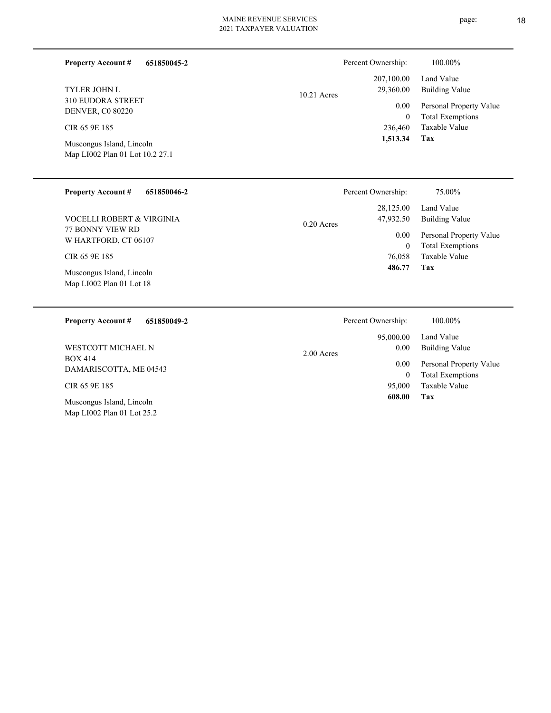| <b>Property Account #</b><br>651850045-2<br><b>TYLER JOHN L</b><br><b>310 EUDORA STREET</b><br><b>DENVER, C0 80220</b><br>CIR 65 9E 185<br>Muscongus Island, Lincoln<br>Map LI002 Plan 01 Lot 10.2 27.1 | Percent Ownership:<br>207,100.00<br>29,360.00<br>$10.21$ Acres<br>236,460<br>1,513.34 | 100.00%<br>Land Value<br><b>Building Value</b><br>0.00<br>Personal Property Value<br><b>Total Exemptions</b><br>$\mathbf{0}$<br>Taxable Value<br>Tax |
|---------------------------------------------------------------------------------------------------------------------------------------------------------------------------------------------------------|---------------------------------------------------------------------------------------|------------------------------------------------------------------------------------------------------------------------------------------------------|
| <b>Property Account #</b><br>651850046-2<br>VOCELLI ROBERT & VIRGINIA<br><b>77 BONNY VIEW RD</b><br>W HARTFORD, CT 06107<br>CIR 65 9E 185<br>Muscongus Island, Lincoln<br>Map LI002 Plan 01 Lot 18      | Percent Ownership:<br>28,125.00<br>47,932.50<br>$0.20$ Acres<br>76,058<br>486.77      | 75.00%<br>Land Value<br><b>Building Value</b><br>0.00<br>Personal Property Value<br><b>Total Exemptions</b><br>$\mathbf{0}$<br>Taxable Value<br>Tax  |

| 651850049-2<br><b>Property Account #</b>                | Percent Ownership:                | 100.00%                                            |
|---------------------------------------------------------|-----------------------------------|----------------------------------------------------|
| WESTCOTT MICHAEL N                                      | 95,000.00<br>0.00<br>$2.00$ Acres | Land Value<br><b>Building Value</b>                |
| <b>BOX 414</b><br>DAMARISCOTTA, ME 04543                | 0.00<br>0                         | Personal Property Value<br><b>Total Exemptions</b> |
| CIR 65 9E 185                                           | 95,000                            | Taxable Value                                      |
| Muscongus Island, Lincoln<br>Map LI002 Plan 01 Lot 25.2 | 608.00                            | Tax                                                |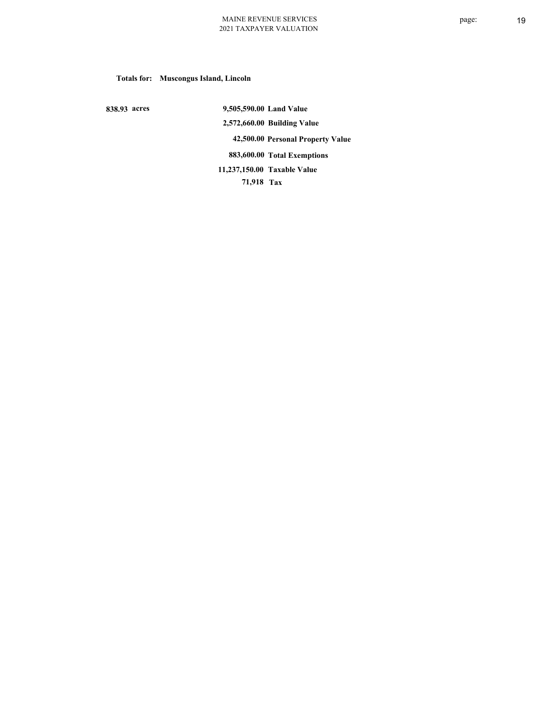**Totals for: Muscongus Island, Lincoln**

 **838.93 acres**

 **9,505,590.00 Land Value 2,572,660.00 Building Value 42,500.00 Personal Property Value 883,600.00 Total Exemptions 71,918 Tax Taxable Value 11,237,150.00**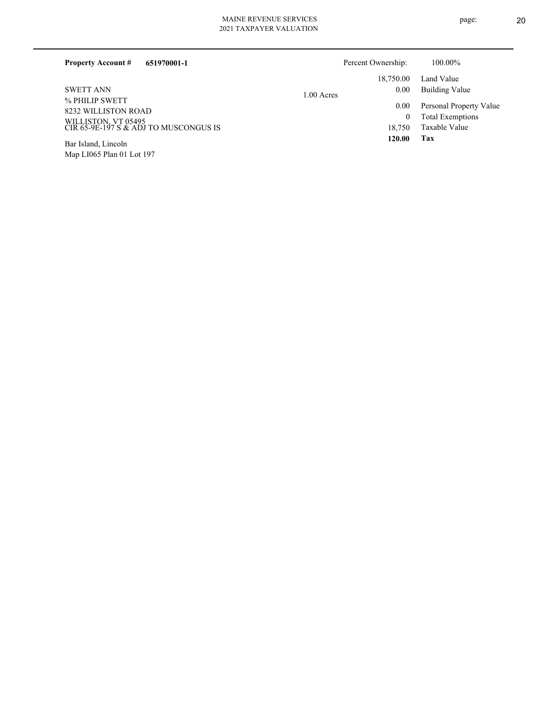| <b>Property Account #</b><br>651970001-1                     |              | Percent Ownership: | 100.00%                 |
|--------------------------------------------------------------|--------------|--------------------|-------------------------|
|                                                              |              | 18,750.00          | Land Value              |
| <b>SWETT ANN</b>                                             | $1.00$ Acres | 0.00               | Building Value          |
| % PHILIP SWETT<br>8232 WILLISTON ROAD                        |              | 0.00               | Personal Property Value |
|                                                              |              |                    | <b>Total Exemptions</b> |
| WILLISTON, VT 05495<br>CIR 65-9E-197 S & ADJ TO MUSCONGUS IS |              | 18.750             | Taxable Value           |
| $T_{1}$ $T_{1}$ $T_{1}$ $T_{2}$ $T_{1}$                      |              | 120.00             | Tax                     |

Map LI065 Plan 01 Lot 197 Bar Island, Lincoln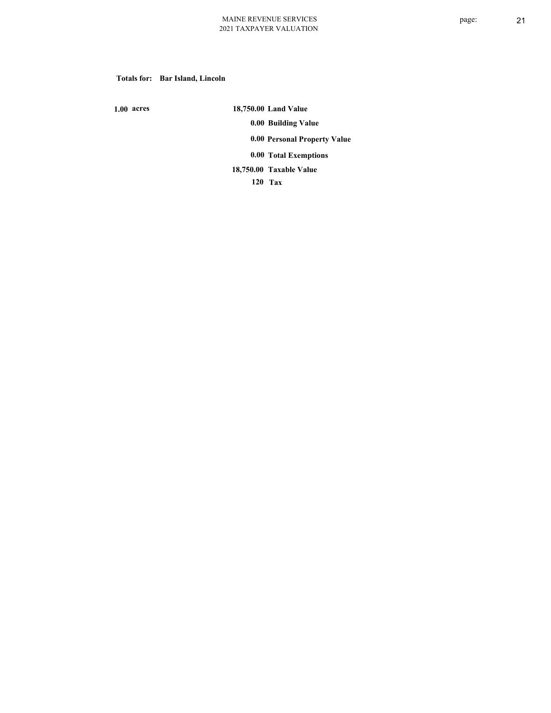#### **Totals for: Bar Island, Lincoln**

 **1.00 acres**

 **18,750.00 Land Value 0.00 Building Value 0.00 Personal Property Value 0.00 Total Exemptions Taxable Value 18,750.00**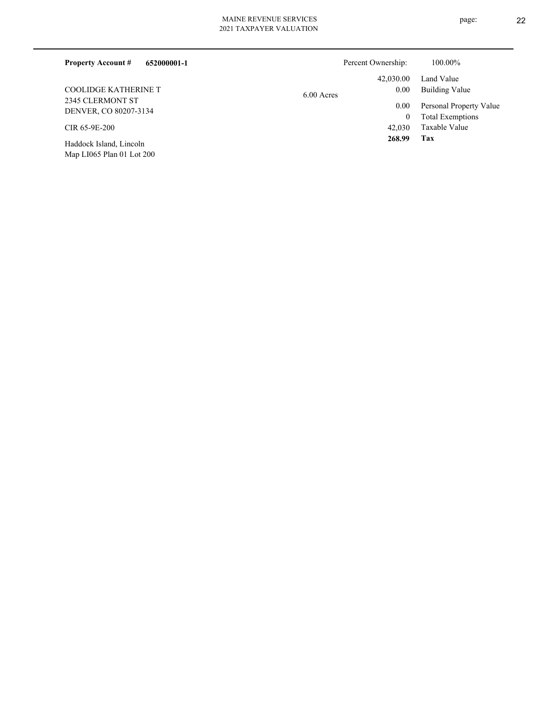| 652000001-1<br><b>Property Account #</b> | Percent Ownership: | 100.00%                 |
|------------------------------------------|--------------------|-------------------------|
|                                          | 42,030.00          | Land Value              |
| <b>COOLIDGE KATHERINE T</b>              | 0.00<br>6.00 Acres | <b>Building Value</b>   |
| 2345 CLERMONT ST                         | 0.00               | Personal Property Value |
| DENVER, CO 80207-3134                    | 0                  | <b>Total Exemptions</b> |
| CIR 65-9E-200                            | 42,030             | Taxable Value           |
| Haddock Island, Lincoln                  | 268.99             | Tax                     |
| Map LI065 Plan 01 Lot 200                |                    |                         |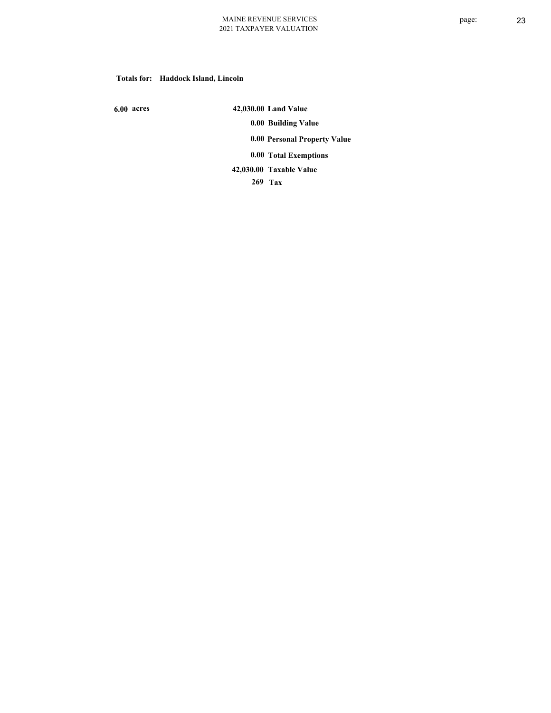#### **Totals for: Haddock Island, Lincoln**

 **6.00 acres**

 **42,030.00 Land Value 0.00 Building Value 0.00 Personal Property Value 0.00 Total Exemptions Taxable Value 42,030.00**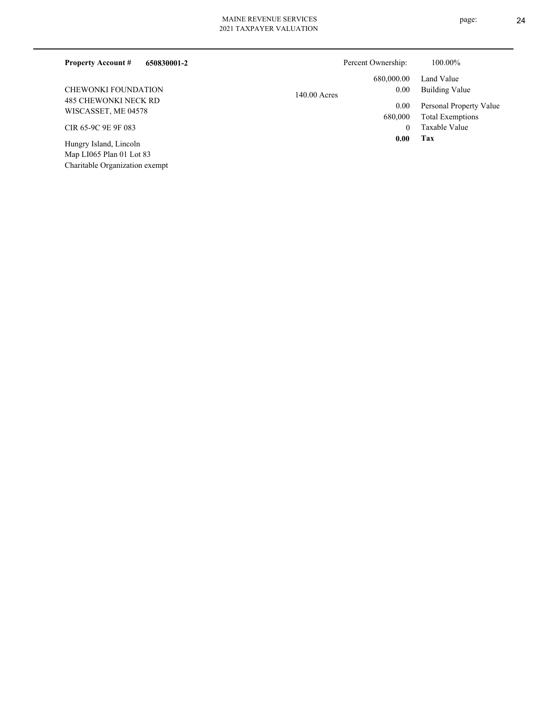# MAINE REVENUE SERVICES

| 2021 TAXPAYER VALUATION |  |
|-------------------------|--|
|                         |  |

| 650830001-2<br><b>Property Account #</b>           | Percent Ownership:     | 100.00%                 |
|----------------------------------------------------|------------------------|-------------------------|
|                                                    | 680,000.00             | Land Value              |
| <b>CHEWONKI FOUNDATION</b>                         | 0.00<br>$140.00$ Acres | Building Value          |
| 485 CHEWONKI NECK RD<br>WISCASSET, ME 04578        | 0.00                   | Personal Property Value |
|                                                    | 680,000                | <b>Total Exemptions</b> |
| CIR 65-9C 9E 9F 083                                | 0                      | Taxable Value           |
| Hungry Island, Lincoln<br>Map LI065 Plan 01 Lot 83 | 0.00                   | Tax                     |

Charitable Organization exempt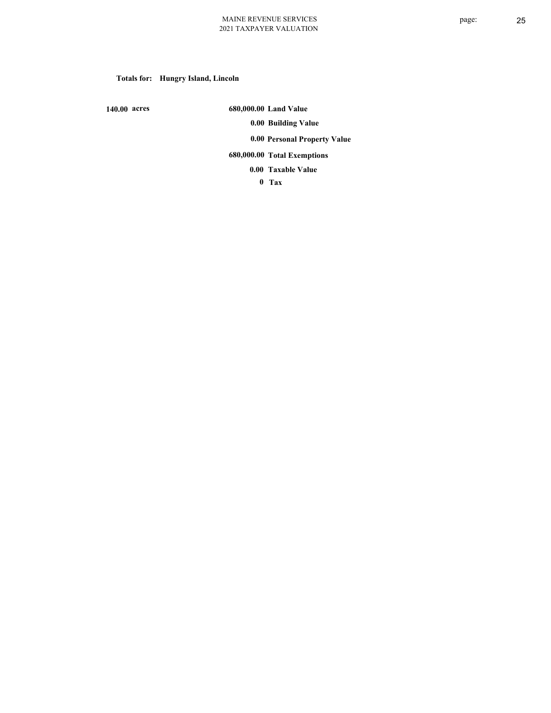# **Totals for: Hungry Island, Lincoln**

 **140.00 acres**

 **680,000.00 Land Value 0.00 Building Value 0.00 Personal Property Value 680,000.00 Total Exemptions**

**Taxable Value 0.00**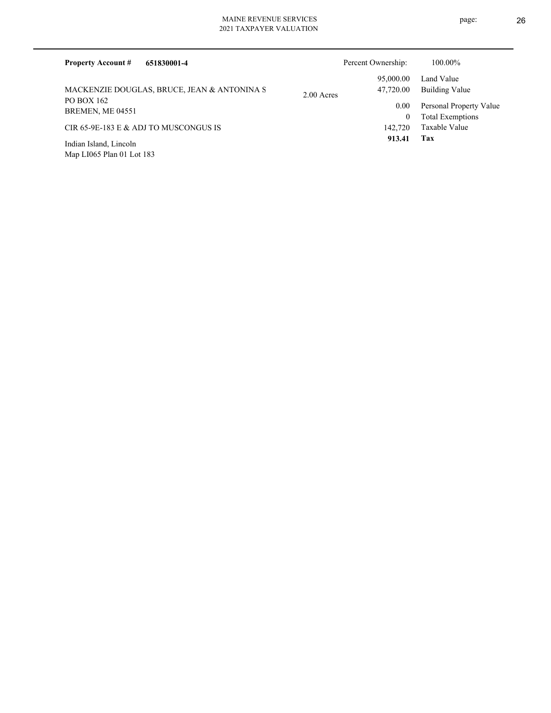| 651830001-4<br><b>Property Account #</b>    |            | Percent Ownership: | 100.00%                 |
|---------------------------------------------|------------|--------------------|-------------------------|
|                                             |            | 95,000.00          | Land Value              |
| MACKENZIE DOUGLAS, BRUCE, JEAN & ANTONINA S | 2.00 Acres | 47,720.00          | Building Value          |
| PO BOX 162<br>BREMEN, ME 04551              |            | $0.00\,$           | Personal Property Value |
|                                             |            | $\bf{0}$           | <b>Total Exemptions</b> |
| CIR 65-9E-183 E & ADJ TO MUSCONGUS IS       |            | 142,720            | Taxable Value           |
| Indian Island, Lincoln                      |            | 913.41             | Tax                     |
| Map LI065 Plan 01 Lot 183                   |            |                    |                         |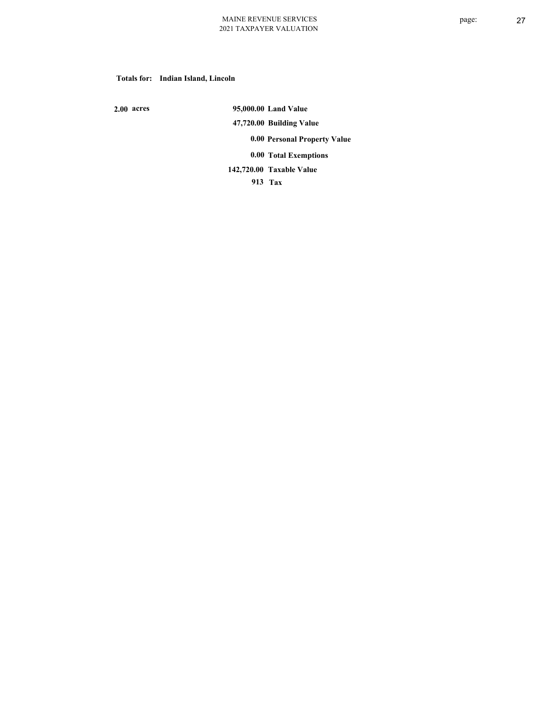#### **Totals for: Indian Island, Lincoln**

 **2.00 acres**

 **95,000.00 Land Value 47,720.00 Building Value 0.00 Personal Property Value 0.00 Total Exemptions Taxable Value 142,720.00**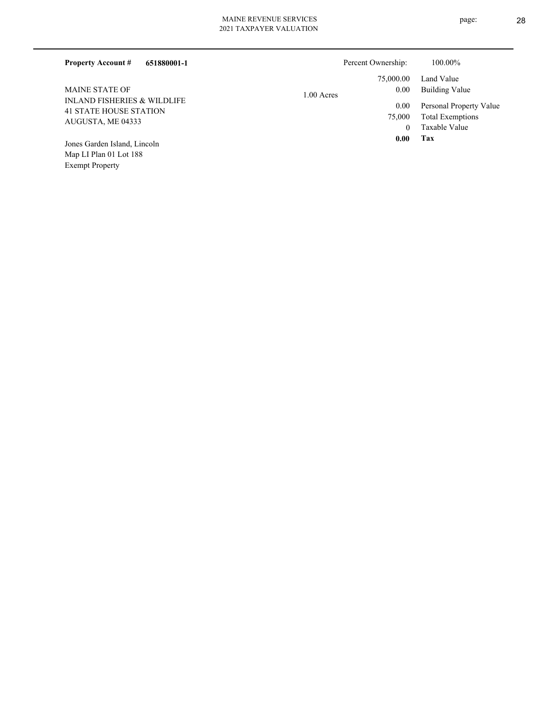| 651880001-1<br><b>Property Account #</b>                                                     | Percent Ownership:   | 100.00%                                            |
|----------------------------------------------------------------------------------------------|----------------------|----------------------------------------------------|
|                                                                                              | 75,000.00            | Land Value                                         |
| <b>MAINE STATE OF</b>                                                                        | 0.00<br>$1.00$ Acres | Building Value                                     |
| <b>INLAND FISHERIES &amp; WILDLIFE</b><br><b>41 STATE HOUSE STATION</b><br>AUGUSTA, ME 04333 | 0.00<br>75,000       | Personal Property Value<br><b>Total Exemptions</b> |
|                                                                                              | $\Omega$             | Taxable Value                                      |
| Jones Garden Island, Lincoln                                                                 | 0.00                 | Tax                                                |
| Map LI Plan 01 Lot 188                                                                       |                      |                                                    |

Exempt Property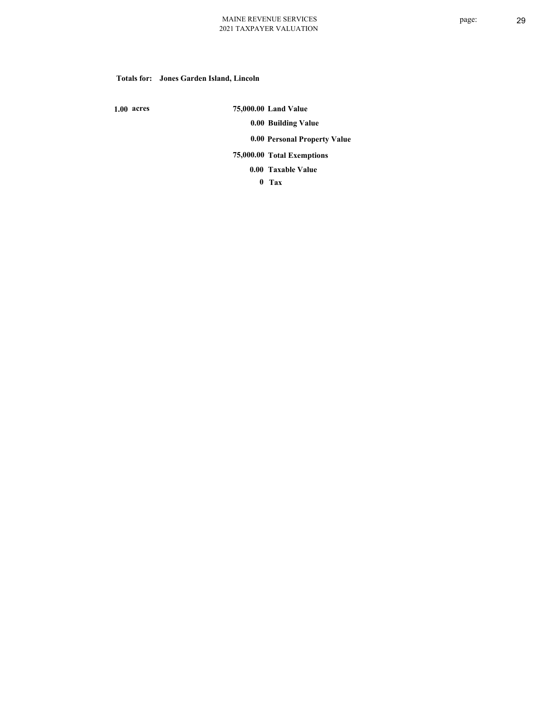#### **Totals for: Jones Garden Island, Lincoln**

 **1.00 acres**

 **75,000.00 Land Value 0.00 Building Value 0.00 Personal Property Value** 

 **75,000.00 Total Exemptions**

**Taxable Value 0.00**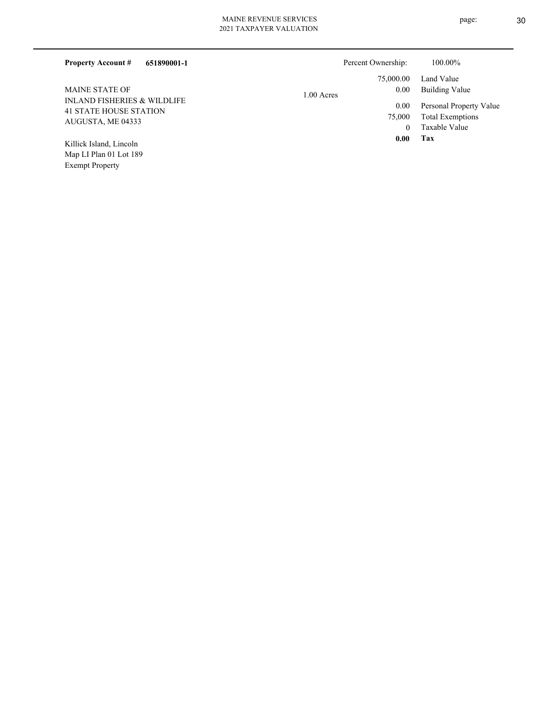| 651890001-1<br><b>Property Account #</b>                                |              | Percent Ownership: | 100.00%                                            |
|-------------------------------------------------------------------------|--------------|--------------------|----------------------------------------------------|
|                                                                         |              | 75,000.00          | Land Value                                         |
| <b>MAINE STATE OF</b>                                                   | $1.00$ Acres | 0.00               | Building Value                                     |
| <b>INLAND FISHERIES &amp; WILDLIFE</b><br><b>41 STATE HOUSE STATION</b> |              | 0.00<br>75,000     | Personal Property Value<br><b>Total Exemptions</b> |
| AUGUSTA, ME 04333                                                       |              |                    | Taxable Value                                      |
| Killick Island, Lincoln                                                 |              | 0.00               | Tax                                                |
| Map LI Plan 01 Lot 189                                                  |              |                    |                                                    |

Exempt Property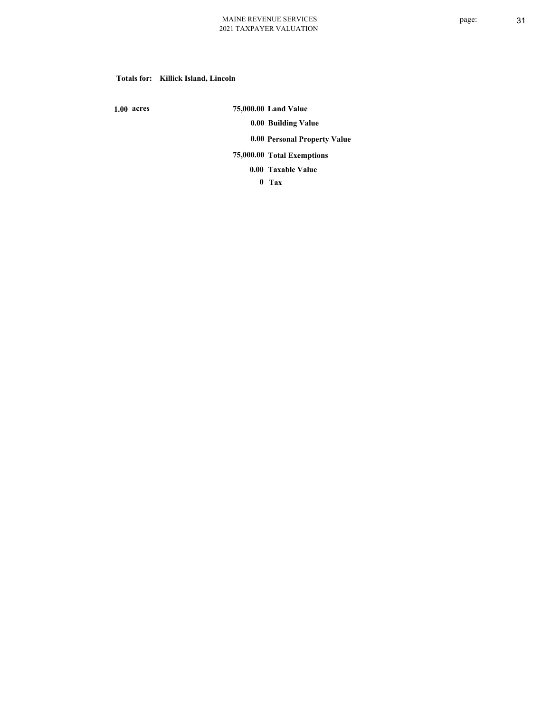#### **Totals for: Killick Island, Lincoln**

 **1.00 acres**

 **75,000.00 Land Value 0.00 Building Value 0.00 Personal Property Value 75,000.00 Total Exemptions**

**Taxable Value 0.00**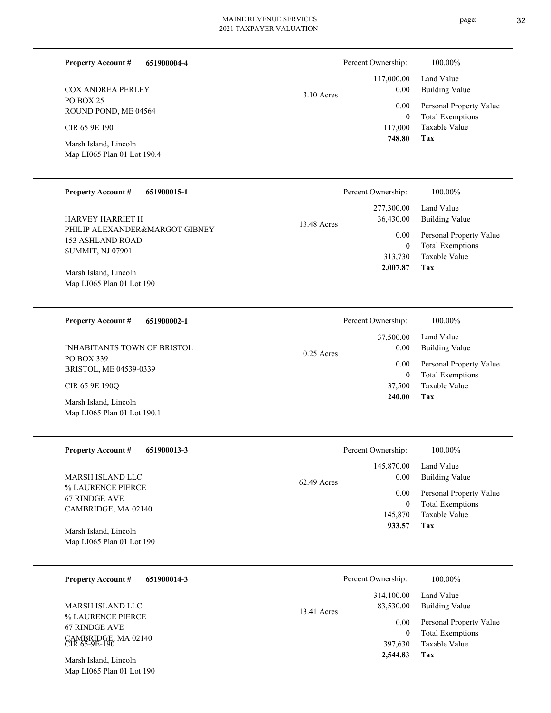| 651900004-4<br><b>Property Account #</b> | Percent Ownership:   | 100.00%                 |
|------------------------------------------|----------------------|-------------------------|
|                                          | 117,000.00           | Land Value              |
| <b>COX ANDREA PERLEY</b>                 | 0.00<br>$3.10$ Acres | <b>Building Value</b>   |
| PO BOX 25<br>ROUND POND, ME 04564        | 0.00                 | Personal Property Value |
|                                          | $\mathbf{0}$         | <b>Total Exemptions</b> |
| CIR 65 9E 190                            | 117,000              | Taxable Value           |
| Marsh Island, Lincoln                    | 748.80               | Tax                     |
| Map LI065 Plan 01 Lot 190.4              |                      |                         |

| <b>Property Account #</b><br>651900015-1                  | Percent Ownership:                     | 100.00%                                                             |
|-----------------------------------------------------------|----------------------------------------|---------------------------------------------------------------------|
| <b>HARVEY HARRIET H</b><br>PHILIP ALEXANDER&MARGOT GIBNEY | 277,300.00<br>36,430.00<br>13.48 Acres | Land Value<br>Building Value                                        |
| 153 ASHLAND ROAD<br><b>SUMMIT, NJ 07901</b>               | $0.00\,$<br>$\bf{0}$<br>313,730        | Personal Property Value<br><b>Total Exemptions</b><br>Taxable Value |
| Marsh Island, Lincoln<br>Map LI065 Plan 01 Lot 190        | 2,007.87                               | Tax                                                                 |

| 651900002-1<br><b>Property Account #</b> | Percent Ownership:   | 100.00%                 |
|------------------------------------------|----------------------|-------------------------|
|                                          | 37,500.00            | Land Value              |
| <b>INHABITANTS TOWN OF BRISTOL</b>       | 0.00<br>$0.25$ Acres | Building Value          |
| PO BOX 339                               | 0.00                 | Personal Property Value |
| BRISTOL, ME 04539-0339                   | 0                    | <b>Total Exemptions</b> |
| CIR 65 9E 190O                           | 37,500               | Taxable Value           |
| Marsh Island, Lincoln                    | 240.00               | Tax                     |
| Map LI065 Plan 01 Lot 190.1              |                      |                         |

| <b>Property Account #</b><br>651900013-3 | Percent Ownership:    | 100.00%                 |
|------------------------------------------|-----------------------|-------------------------|
|                                          | 145,870.00            | Land Value              |
| MARSH ISLAND LLC                         | 0.00<br>$62.49$ Acres | Building Value          |
| % LAURENCE PIERCE<br>67 RINDGE AVE       | 0.00                  | Personal Property Value |
| CAMBRIDGE, MA 02140                      |                       | <b>Total Exemptions</b> |
|                                          | 145,870               | Taxable Value           |
| Marsh Island, Lincoln                    | 933.57                | Tax                     |
| Map LI065 Plan 01 Lot 190                |                       |                         |

| 651900014-3<br><b>Property Account #</b>                                     | Percent Ownership:                       | 100.00%                                                             |
|------------------------------------------------------------------------------|------------------------------------------|---------------------------------------------------------------------|
| MARSH ISLAND LLC                                                             | 314,100.00<br>83,530.00<br>$13.41$ Acres | Land Value<br>Building Value                                        |
| % LAURENCE PIERCE<br>67 RINDGE AVE<br>CAMBRIDGE, MA 02140<br>$CIR$ 65-9E-190 | 0.00<br>$\theta$<br>397,630              | Personal Property Value<br><b>Total Exemptions</b><br>Taxable Value |
| Marsh Island, Lincoln<br>Map LI065 Plan 01 Lot 190                           | 2,544.83                                 | Tax                                                                 |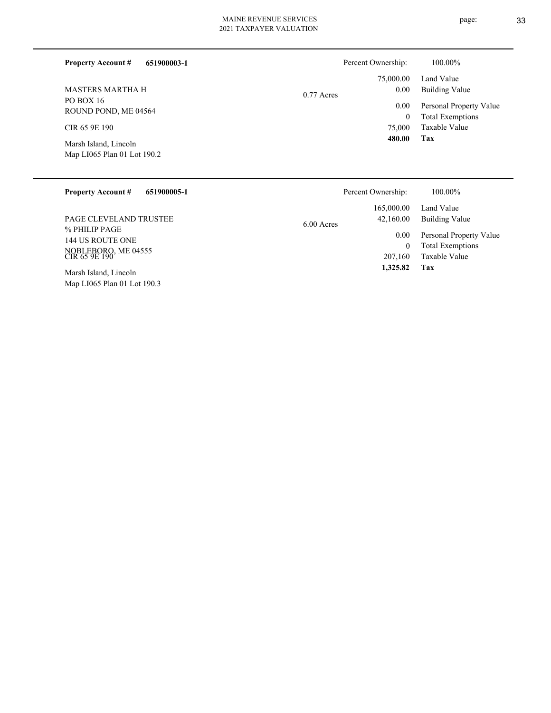L

| 100.00%                       |                                                                                                           |
|-------------------------------|-----------------------------------------------------------------------------------------------------------|
| Land Value                    |                                                                                                           |
| 0.00<br><b>Building Value</b> |                                                                                                           |
| 0.00                          |                                                                                                           |
| $\mathbf{0}$                  |                                                                                                           |
| Taxable Value                 |                                                                                                           |
| Tax                           |                                                                                                           |
|                               |                                                                                                           |
|                               |                                                                                                           |
| $0.77$ Acres                  | Percent Ownership:<br>75,000.00<br>Personal Property Value<br><b>Total Exemptions</b><br>75,000<br>480.00 |

| <b>Property Account #</b><br>651900005-1 | Percent Ownership:        | $100.00\%$              |
|------------------------------------------|---------------------------|-------------------------|
|                                          | 165,000.00                | Land Value              |
| <b>PAGE CLEVELAND TRUSTEE</b>            | 42,160.00<br>$6.00$ Acres | Building Value          |
| % PHILIP PAGE<br>144 US ROUTE ONE        | 0.00                      | Personal Property Value |
|                                          | $\mathbf{0}$              | <b>Total Exemptions</b> |
| NOBLEBORO, ME 04555<br>CIR 65 9E 190     | 207,160                   | Taxable Value           |
| Marsh Island, Lincoln                    | 1,325.82                  | Tax                     |
| Map LI065 Plan 01 Lot 190.3              |                           |                         |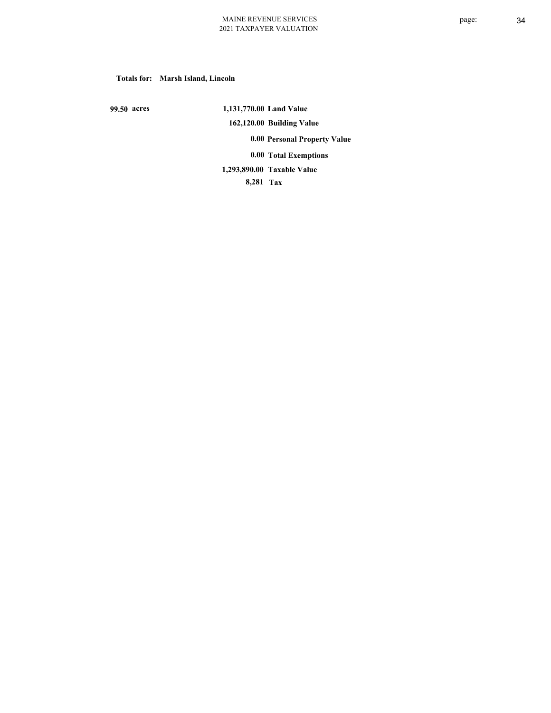#### **Totals for: Marsh Island, Lincoln**

 **99.50 acres**

 **1,131,770.00 Land Value 162,120.00 Building Value 0.00 Personal Property Value 0.00 Total Exemptions Taxable Value 1,293,890.00**

 **8,281 Tax**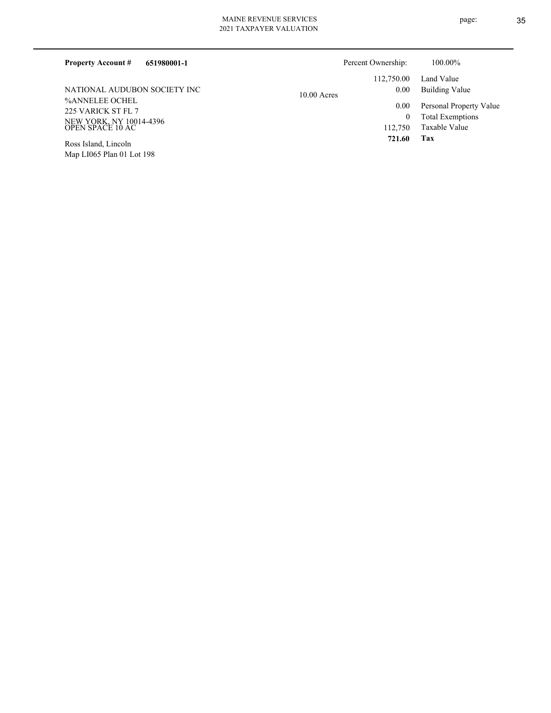| <b>Property Account #</b><br>651980001-1    | Percent Ownership: |            | 100.00%                 |
|---------------------------------------------|--------------------|------------|-------------------------|
|                                             |                    | 112,750.00 | Land Value              |
| NATIONAL AUDURON SOCIETY INC                | $10.00$ Acres      | 0.00       | Building Value          |
| %ANNELEE OCHEL<br>225 VARICK ST FL 7        |                    | 0.00       | Personal Property Value |
|                                             |                    | 0          | <b>Total Exemptions</b> |
| NEW YORK, NY 10014-4396<br>OPEN SPACE 10 AC |                    | 112,750    | Taxable Value           |
| Ross Island, Lincoln                        |                    | 721.60     | Tax                     |

Map LI065 Plan 01 Lot 198 Ross Island, Lincoln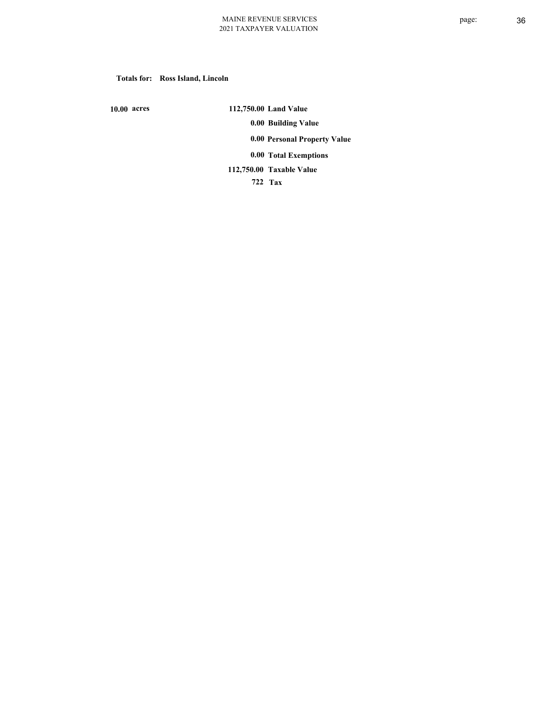#### **Totals for: Ross Island, Lincoln**

 **10.00 acres**

 **112,750.00 Land Value 0.00 Building Value 0.00 Personal Property Value 0.00 Total Exemptions Taxable Value 112,750.00**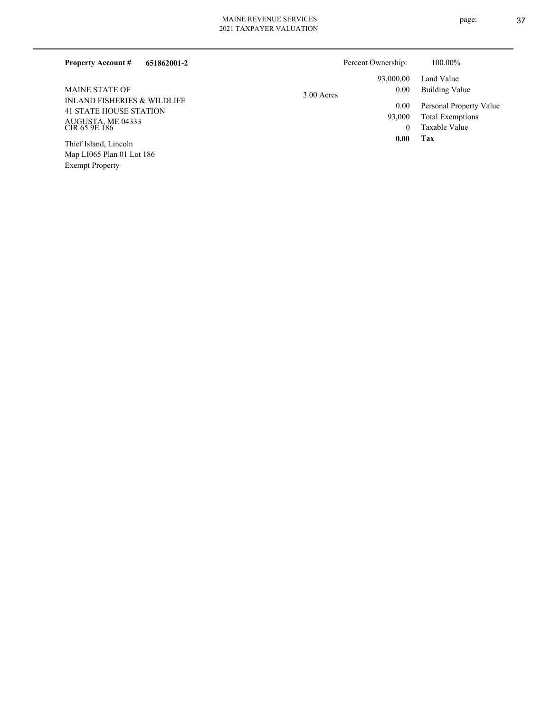| <b>Property Account #</b><br>651862001-2                                                                                               | Percent Ownership: | 100.00%                 |
|----------------------------------------------------------------------------------------------------------------------------------------|--------------------|-------------------------|
| <b>MAINE STATE OF</b><br><b>INLAND FISHERIES &amp; WILDLIFE</b><br><b>41 STATE HOUSE STATION</b><br>AUGUSTA, ME 04333<br>CIR 65 9E 186 | 93,000.00          | Land Value              |
|                                                                                                                                        | 0.00<br>3.00 Acres | Building Value          |
|                                                                                                                                        | 0.00               | Personal Property Value |
|                                                                                                                                        | 93,000             | <b>Total Exemptions</b> |
|                                                                                                                                        |                    | Taxable Value           |
| $TT1'$ $T1$ $T1'$ $T$                                                                                                                  | 0.00               | Tax                     |

Map LI065 Plan 01 Lot 186 Exempt Property Thief Island, Lincoln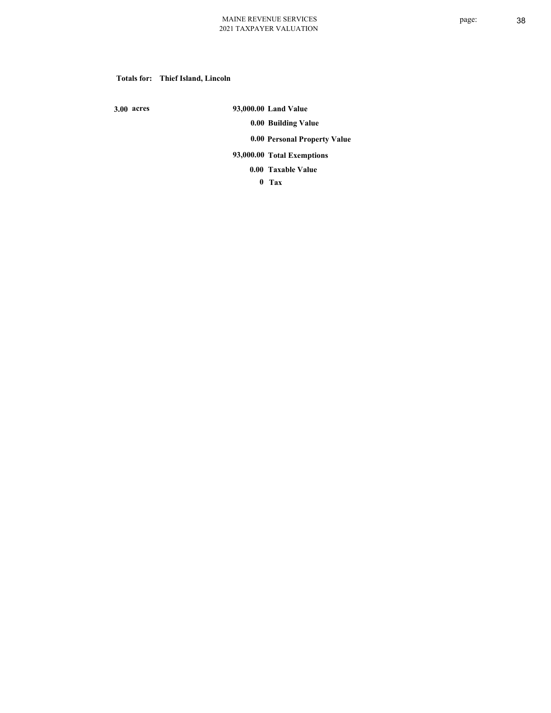#### **Totals for: Thief Island, Lincoln**

 **3.00 acres**

 **93,000.00 Land Value 0.00 Building Value 0.00 Personal Property Value 93,000.00 Total Exemptions**

**Taxable Value 0.00**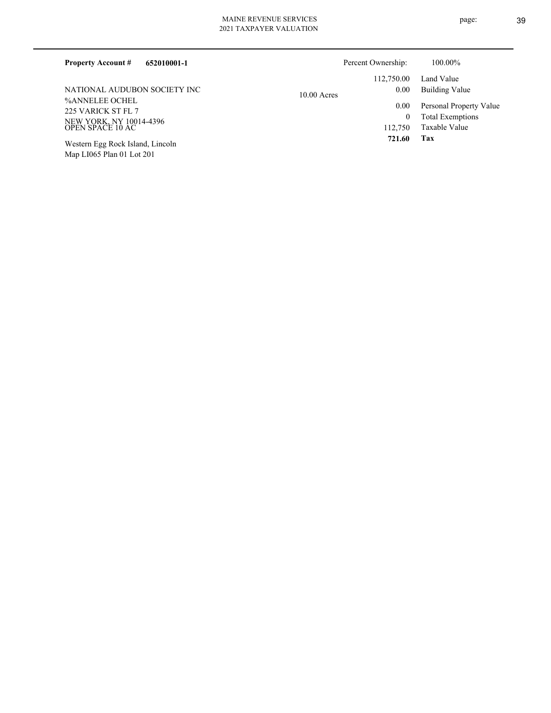| 652010001-1<br><b>Property Account #</b>    | Percent Ownership: |            | 100.00%                 |
|---------------------------------------------|--------------------|------------|-------------------------|
|                                             |                    | 112,750.00 | Land Value              |
| NATIONAL AUDUBON SOCIETY INC                | $10.00$ Acres      | 0.00       | Building Value          |
| %ANNELEE OCHEL<br>225 VARICK ST FL 7        |                    | 0.00       | Personal Property Value |
| NEW YORK, NY 10014-4396<br>OPEN SPACE 10 AC |                    | 0          | <b>Total Exemptions</b> |
|                                             |                    | 112.750    | Taxable Value           |
| Western Egg Rock Island, Lincoln            |                    | 721.60     | Tax                     |

Map LI065 Plan 01 Lot 201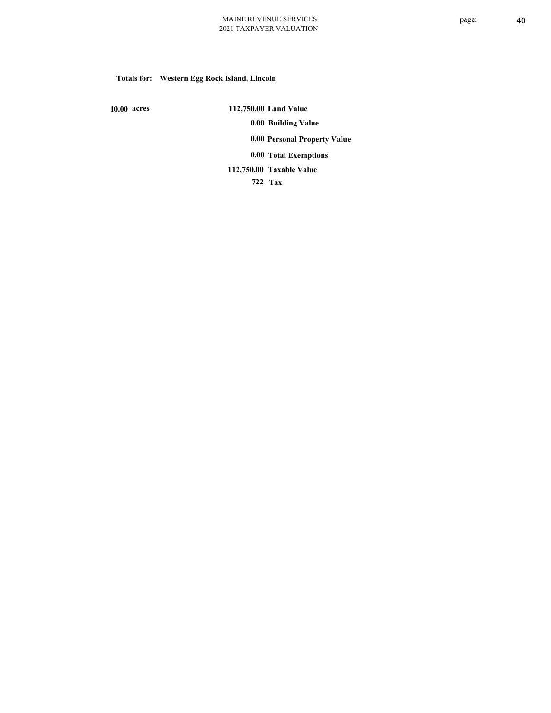# **Totals for: Western Egg Rock Island, Lincoln**

 **10.00 acres**

 **112,750.00 Land Value 0.00 Building Value 0.00 Personal Property Value 0.00 Total Exemptions Taxable Value 112,750.00**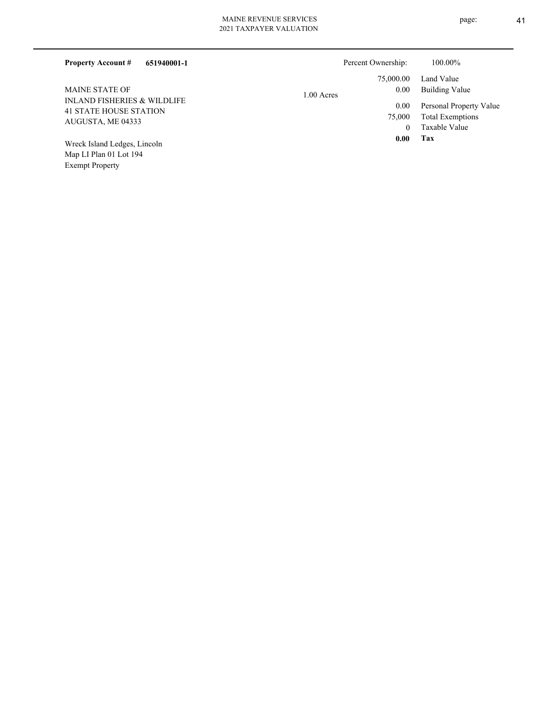| 651940001-1<br><b>Property Account #</b>                                | Percent Ownership:   | 100.00%                                  |
|-------------------------------------------------------------------------|----------------------|------------------------------------------|
|                                                                         | 75,000.00            | Land Value                               |
| <b>MAINE STATE OF</b>                                                   | 0.00<br>$1.00$ Acres | Building Value                           |
| <b>INLAND FISHERIES &amp; WILDLIFE</b><br><b>41 STATE HOUSE STATION</b> | 0.00                 | Personal Property Value                  |
| AUGUSTA, ME 04333                                                       | 75,000<br>$\theta$   | <b>Total Exemptions</b><br>Taxable Value |
| Wreck Island Ledges, Lincoln                                            | 0.00                 | Tax                                      |
| Map LI Plan 01 Lot 194                                                  |                      |                                          |

Exempt Property